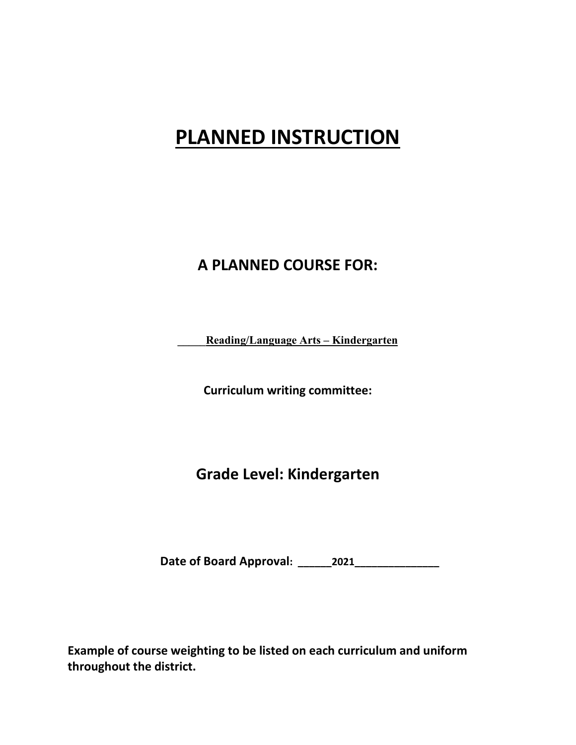# **PLANNED INSTRUCTION**

## **A PLANNED COURSE FOR:**

**\_\_\_\_\_Reading/Language Arts – Kindergarten** 

**Curriculum writing committee:**

**Grade Level: Kindergarten**

**Date of Board Approval: \_\_\_\_\_\_2021\_\_\_\_\_\_\_\_\_\_\_\_\_\_\_** 

**Example of course weighting to be listed on each curriculum and uniform throughout the district.**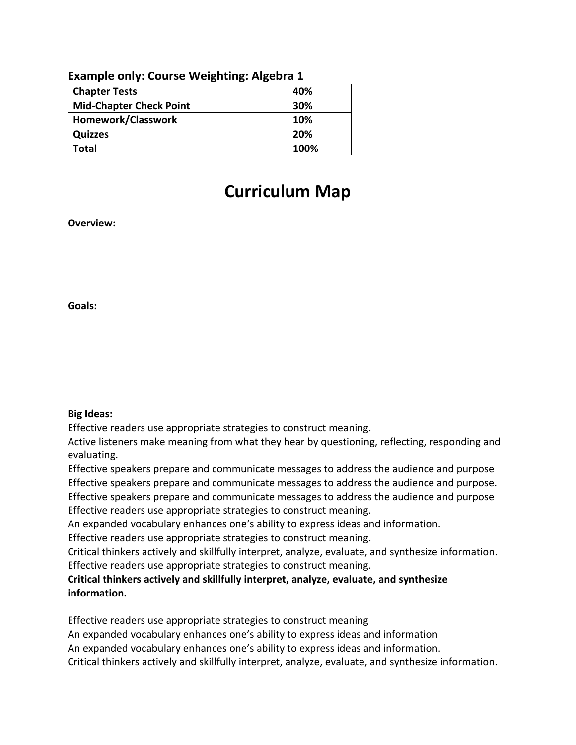| <b>Example only: Course weighting: Algebra I</b> |      |  |
|--------------------------------------------------|------|--|
| <b>Chapter Tests</b>                             | 40%  |  |
| <b>Mid-Chapter Check Point</b>                   | 30%  |  |
| Homework/Classwork                               | 10%  |  |
| <b>Quizzes</b>                                   | 20%  |  |
| Total                                            | 100% |  |

## **Example only: Course Weighting: Algebra 1**

# **Curriculum Map**

**Overview:**

**Goals:** 

## **Big Ideas:**

Effective readers use appropriate strategies to construct meaning.

Active listeners make meaning from what they hear by questioning, reflecting, responding and evaluating.

Effective speakers prepare and communicate messages to address the audience and purpose Effective speakers prepare and communicate messages to address the audience and purpose. Effective speakers prepare and communicate messages to address the audience and purpose Effective readers use appropriate strategies to construct meaning.

An expanded vocabulary enhances one's ability to express ideas and information.

Effective readers use appropriate strategies to construct meaning.

Critical thinkers actively and skillfully interpret, analyze, evaluate, and synthesize information. Effective readers use appropriate strategies to construct meaning.

**Critical thinkers actively and skillfully interpret, analyze, evaluate, and synthesize information.**

Effective readers use appropriate strategies to construct meaning

An expanded vocabulary enhances one's ability to express ideas and information

An expanded vocabulary enhances one's ability to express ideas and information.

Critical thinkers actively and skillfully interpret, analyze, evaluate, and synthesize information.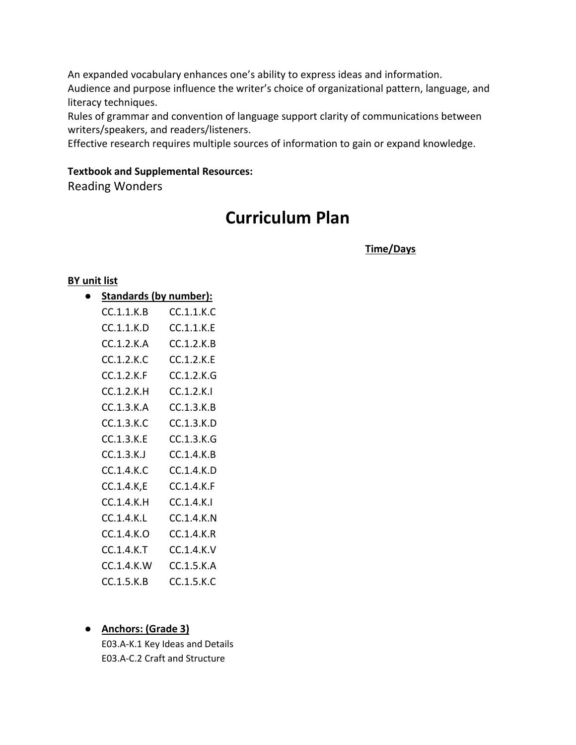An expanded vocabulary enhances one's ability to express ideas and information. Audience and purpose influence the writer's choice of organizational pattern, language, and literacy techniques.

Rules of grammar and convention of language support clarity of communications between writers/speakers, and readers/listeners.

Effective research requires multiple sources of information to gain or expand knowledge.

## **Textbook and Supplemental Resources:**

Reading Wonders

## **Curriculum Plan**

 **Time/Days**

## **BY unit list**

● **Standards (by number):**

| CC.1.1.K.B | CC.1.1.K.C |
|------------|------------|
| CC.1.1.K.D | CC.1.1.K.E |
| CC.1.2.K.A | CC.1.2.K.B |
| CC.1.2.K.C | CC.1.2.K.E |
| CC.1.2.K.F | CC.1.2.K.G |
| CC.1.2.K.H | CC.1.2.K.I |
| CC.1.3.K.A | CC.1.3.K.B |
| CC.1.3.K.C | CC.1.3.K.D |
| CC.1.3.K.E | CC.1.3.K.G |
| CC.1.3.K.J | CC.1.4.K.B |
| CCA.4.K.C. | CC.1.4.K.D |
| CC.1.4.K,E | CC.1.4.K.F |
| CC.1.4.K.H | CC.1.4.K.I |
| CC.1.4.K.L | CC.1.4.K.N |
| CC.1.4.K.O | CC.1.4.K.R |
| CC.1.4.K.T | CC.1.4.K.V |
| CC.1.4.K.W | CC.1.5.K.A |
| CC.1.5.K.B | CC.1.5.K.C |

## ● **Anchors: (Grade 3)**

E03.A-K.1 Key Ideas and Details E03.A-C.2 Craft and Structure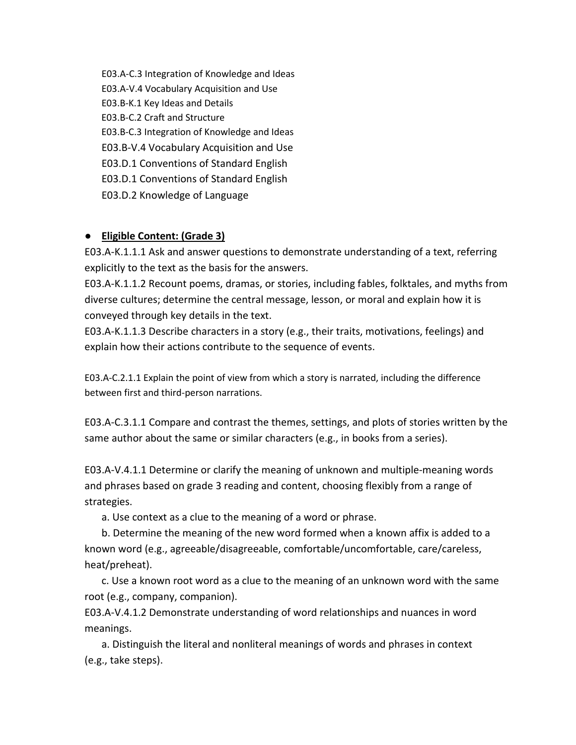E03.A-C.3 Integration of Knowledge and Ideas E03.A-V.4 Vocabulary Acquisition and Use E03.B-K.1 Key Ideas and Details E03.B-C.2 Craft and Structure E03.B-C.3 Integration of Knowledge and Ideas E03.B-V.4 Vocabulary Acquisition and Use E03.D.1 Conventions of Standard English E03.D.1 Conventions of Standard English E03.D.2 Knowledge of Language

## ● **Eligible Content: (Grade 3)**

E03.A-K.1.1.1 Ask and answer questions to demonstrate understanding of a text, referring explicitly to the text as the basis for the answers.

E03.A-K.1.1.2 Recount poems, dramas, or stories, including fables, folktales, and myths from diverse cultures; determine the central message, lesson, or moral and explain how it is conveyed through key details in the text.

E03.A-K.1.1.3 Describe characters in a story (e.g., their traits, motivations, feelings) and explain how their actions contribute to the sequence of events.

E03.A-C.2.1.1 Explain the point of view from which a story is narrated, including the difference between first and third-person narrations.

E03.A-C.3.1.1 Compare and contrast the themes, settings, and plots of stories written by the same author about the same or similar characters (e.g., in books from a series).

E03.A-V.4.1.1 Determine or clarify the meaning of unknown and multiple-meaning words and phrases based on grade 3 reading and content, choosing flexibly from a range of strategies.

a. Use context as a clue to the meaning of a word or phrase.

b. Determine the meaning of the new word formed when a known affix is added to a known word (e.g., agreeable/disagreeable, comfortable/uncomfortable, care/careless, heat/preheat).

c. Use a known root word as a clue to the meaning of an unknown word with the same root (e.g., company, companion).

E03.A-V.4.1.2 Demonstrate understanding of word relationships and nuances in word meanings.

a. Distinguish the literal and nonliteral meanings of words and phrases in context (e.g., take steps).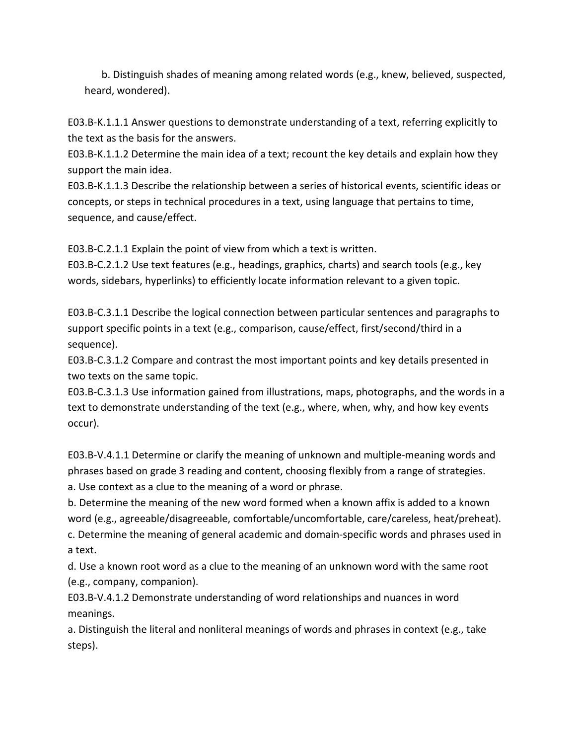b. Distinguish shades of meaning among related words (e.g., knew, believed, suspected, heard, wondered).

E03.B-K.1.1.1 Answer questions to demonstrate understanding of a text, referring explicitly to the text as the basis for the answers.

E03.B-K.1.1.2 Determine the main idea of a text; recount the key details and explain how they support the main idea.

E03.B-K.1.1.3 Describe the relationship between a series of historical events, scientific ideas or concepts, or steps in technical procedures in a text, using language that pertains to time, sequence, and cause/effect.

E03.B-C.2.1.1 Explain the point of view from which a text is written.

E03.B-C.2.1.2 Use text features (e.g., headings, graphics, charts) and search tools (e.g., key words, sidebars, hyperlinks) to efficiently locate information relevant to a given topic.

E03.B-C.3.1.1 Describe the logical connection between particular sentences and paragraphs to support specific points in a text (e.g., comparison, cause/effect, first/second/third in a sequence).

E03.B-C.3.1.2 Compare and contrast the most important points and key details presented in two texts on the same topic.

E03.B-C.3.1.3 Use information gained from illustrations, maps, photographs, and the words in a text to demonstrate understanding of the text (e.g., where, when, why, and how key events occur).

E03.B-V.4.1.1 Determine or clarify the meaning of unknown and multiple-meaning words and phrases based on grade 3 reading and content, choosing flexibly from a range of strategies. a. Use context as a clue to the meaning of a word or phrase.

b. Determine the meaning of the new word formed when a known affix is added to a known word (e.g., agreeable/disagreeable, comfortable/uncomfortable, care/careless, heat/preheat). c. Determine the meaning of general academic and domain-specific words and phrases used in

a text.

d. Use a known root word as a clue to the meaning of an unknown word with the same root (e.g., company, companion).

E03.B-V.4.1.2 Demonstrate understanding of word relationships and nuances in word meanings.

a. Distinguish the literal and nonliteral meanings of words and phrases in context (e.g., take steps).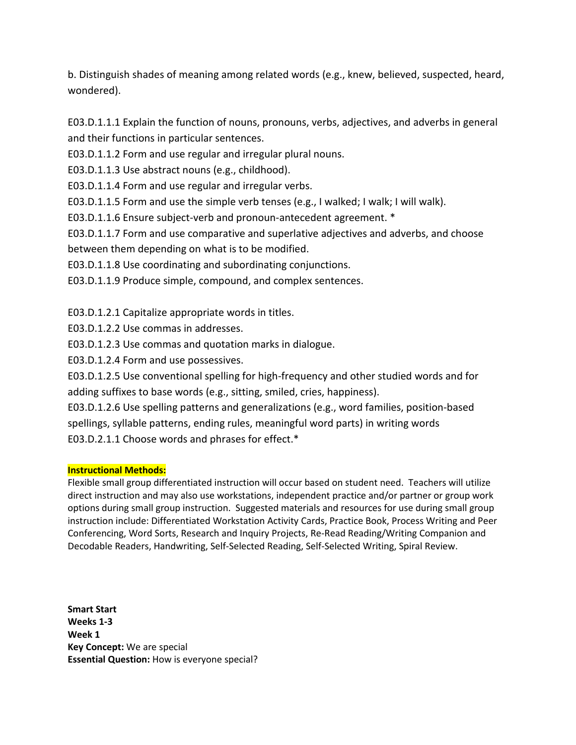b. Distinguish shades of meaning among related words (e.g., knew, believed, suspected, heard, wondered).

E03.D.1.1.1 Explain the function of nouns, pronouns, verbs, adjectives, and adverbs in general and their functions in particular sentences.

E03.D.1.1.2 Form and use regular and irregular plural nouns.

E03.D.1.1.3 Use abstract nouns (e.g., childhood).

E03.D.1.1.4 Form and use regular and irregular verbs.

E03.D.1.1.5 Form and use the simple verb tenses (e.g., I walked; I walk; I will walk).

E03.D.1.1.6 Ensure subject-verb and pronoun-antecedent agreement. \*

E03.D.1.1.7 Form and use comparative and superlative adjectives and adverbs, and choose between them depending on what is to be modified.

E03.D.1.1.8 Use coordinating and subordinating conjunctions.

E03.D.1.1.9 Produce simple, compound, and complex sentences.

E03.D.1.2.1 Capitalize appropriate words in titles.

E03.D.1.2.2 Use commas in addresses.

E03.D.1.2.3 Use commas and quotation marks in dialogue.

E03.D.1.2.4 Form and use possessives.

E03.D.1.2.5 Use conventional spelling for high-frequency and other studied words and for adding suffixes to base words (e.g., sitting, smiled, cries, happiness).

E03.D.1.2.6 Use spelling patterns and generalizations (e.g., word families, position-based spellings, syllable patterns, ending rules, meaningful word parts) in writing words E03.D.2.1.1 Choose words and phrases for effect.\*

## **Instructional Methods:**

Flexible small group differentiated instruction will occur based on student need. Teachers will utilize direct instruction and may also use workstations, independent practice and/or partner or group work options during small group instruction. Suggested materials and resources for use during small group instruction include: Differentiated Workstation Activity Cards, Practice Book, Process Writing and Peer Conferencing, Word Sorts, Research and Inquiry Projects, Re-Read Reading/Writing Companion and Decodable Readers, Handwriting, Self-Selected Reading, Self-Selected Writing, Spiral Review.

**Smart Start Weeks 1-3 Week 1 Key Concept:** We are special **Essential Question:** How is everyone special?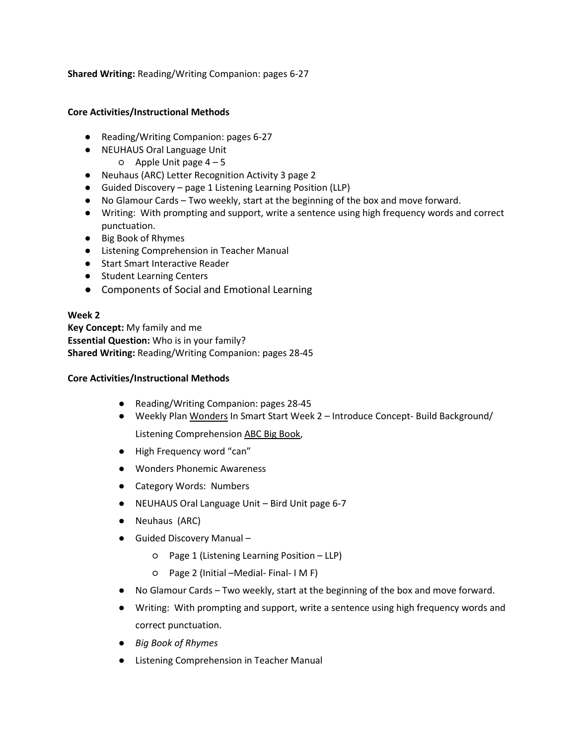**Shared Writing:** Reading/Writing Companion: pages 6-27

## **Core Activities/Instructional Methods**

- Reading/Writing Companion: pages 6-27
- NEUHAUS Oral Language Unit
	- $O$  Apple Unit page  $4-5$
- Neuhaus (ARC) Letter Recognition Activity 3 page 2
- Guided Discovery page 1 Listening Learning Position (LLP)
- No Glamour Cards Two weekly, start at the beginning of the box and move forward.
- Writing: With prompting and support, write a sentence using high frequency words and correct punctuation.
- Big Book of Rhymes
- Listening Comprehension in Teacher Manual
- Start Smart Interactive Reader
- Student Learning Centers
- Components of Social and Emotional Learning

## **Week 2**

**Key Concept:** My family and me **Essential Question:** Who is in your family? **Shared Writing:** Reading/Writing Companion: pages 28-45

- Reading/Writing Companion: pages 28-45
- Weekly Plan Wonders In Smart Start Week 2 Introduce Concept- Build Background/ Listening Comprehension ABC Big Book,
- High Frequency word "can"
- Wonders Phonemic Awareness
- Category Words: Numbers
- NEUHAUS Oral Language Unit Bird Unit page 6-7
- Neuhaus (ARC)
- Guided Discovery Manual
	- Page 1 (Listening Learning Position LLP)
	- Page 2 (Initial –Medial- Final- I M F)
- No Glamour Cards Two weekly, start at the beginning of the box and move forward.
- Writing: With prompting and support, write a sentence using high frequency words and correct punctuation.
- *Big Book of Rhymes*
- Listening Comprehension in Teacher Manual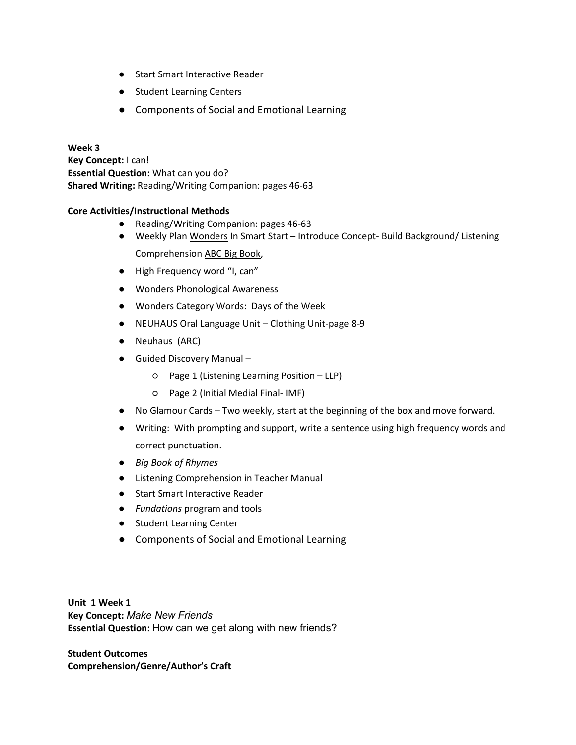- Start Smart Interactive Reader
- Student Learning Centers
- Components of Social and Emotional Learning

## **Week 3 Key Concept:** I can! **Essential Question:** What can you do? **Shared Writing:** Reading/Writing Companion: pages 46-63

## **Core Activities/Instructional Methods**

- Reading/Writing Companion: pages 46-63
- Weekly Plan Wonders In Smart Start Introduce Concept- Build Background/ Listening Comprehension ABC Big Book,
- High Frequency word "I, can"
- Wonders Phonological Awareness
- Wonders Category Words: Days of the Week
- NEUHAUS Oral Language Unit Clothing Unit-page 8-9
- Neuhaus (ARC)
- Guided Discovery Manual
	- Page 1 (Listening Learning Position LLP)
	- Page 2 (Initial Medial Final- IMF)
- No Glamour Cards Two weekly, start at the beginning of the box and move forward.
- Writing: With prompting and support, write a sentence using high frequency words and correct punctuation.
- *Big Book of Rhymes*
- Listening Comprehension in Teacher Manual
- Start Smart Interactive Reader
- *Fundations* program and tools
- Student Learning Center
- Components of Social and Emotional Learning

**Unit 1 Week 1 Key Concept:** *Make New Friends* **Essential Question:** How can we get along with new friends?

**Student Outcomes Comprehension/Genre/Author's Craft**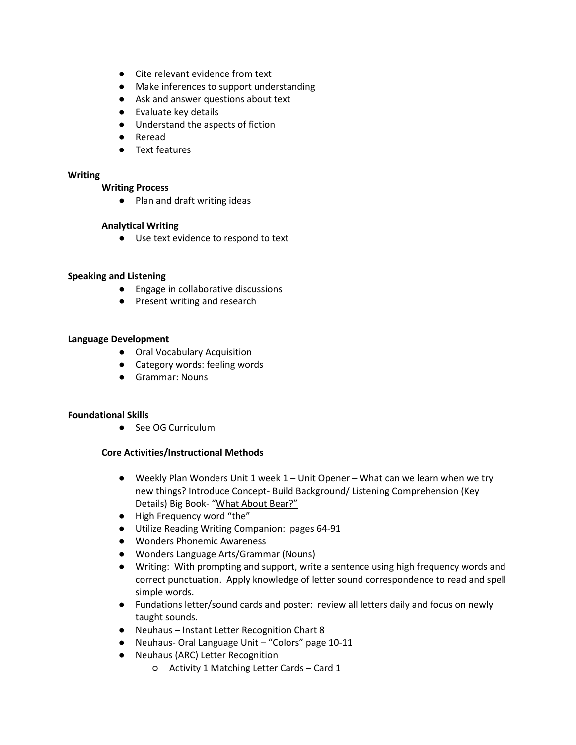- Cite relevant evidence from text
- Make inferences to support understanding
- Ask and answer questions about text
- Evaluate key details
- Understand the aspects of fiction
- Reread
- Text features

#### **Writing**

#### **Writing Process**

● Plan and draft writing ideas

#### **Analytical Writing**

● Use text evidence to respond to text

#### **Speaking and Listening**

- Engage in collaborative discussions
- Present writing and research

#### **Language Development**

- Oral Vocabulary Acquisition
- Category words: feeling words
- Grammar: Nouns

#### **Foundational Skills**

● See OG Curriculum

- **●** Weekly Plan Wonders Unit 1 week 1 Unit Opener What can we learn when we try new things? Introduce Concept- Build Background/ Listening Comprehension (Key Details) Big Book- "What About Bear?"
- **●** High Frequency word "the"
- **●** Utilize Reading Writing Companion: pages 64-91
- **●** Wonders Phonemic Awareness
- **●** Wonders Language Arts/Grammar (Nouns)
- **●** Writing: With prompting and support, write a sentence using high frequency words and correct punctuation. Apply knowledge of letter sound correspondence to read and spell simple words.
- **●** Fundations letter/sound cards and poster: review all letters daily and focus on newly taught sounds.
- **●** Neuhaus Instant Letter Recognition Chart 8
- **●** Neuhaus- Oral Language Unit "Colors" page 10-11
- **●** Neuhaus (ARC) Letter Recognition
	- Activity 1 Matching Letter Cards Card 1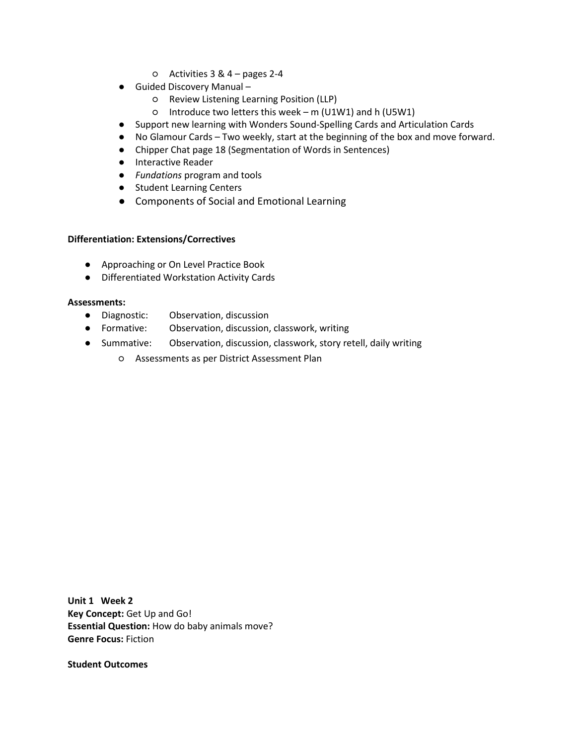- Activities 3 & 4 pages 2-4
- **●** Guided Discovery Manual
	- Review Listening Learning Position (LLP)
	- Introduce two letters this week m (U1W1) and h (U5W1)
- **●** Support new learning with Wonders Sound-Spelling Cards and Articulation Cards
- **●** No Glamour Cards Two weekly, start at the beginning of the box and move forward.
- **●** Chipper Chat page 18 (Segmentation of Words in Sentences)
- **●** Interactive Reader
- **●** *Fundations* program and tools
- **●** Student Learning Centers
- **●** Components of Social and Emotional Learning

- Approaching or On Level Practice Book
- Differentiated Workstation Activity Cards

#### **Assessments:**

- Diagnostic: Observation, discussion
- Formative: Observation, discussion, classwork, writing
- Summative: Observation, discussion, classwork, story retell, daily writing
	- Assessments as per District Assessment Plan

**Unit 1 Week 2 Key Concept:** Get Up and Go! **Essential Question:** How do baby animals move? **Genre Focus:** Fiction

**Student Outcomes**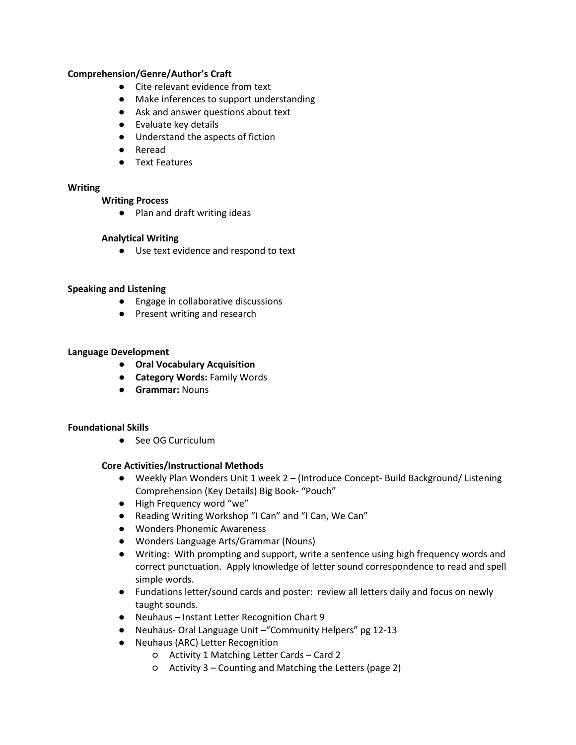## **Comprehension/Genre/Author's Craft**

- Cite relevant evidence from text
- Make inferences to support understanding
- Ask and answer questions about text
- Evaluate key details
- Understand the aspects of fiction
- Reread
- Text Features

#### **Writing**

#### **Writing Process**

● Plan and draft writing ideas

## **Analytical Writing**

● Use text evidence and respond to text

## **Speaking and Listening**

- Engage in collaborative discussions
- Present writing and research

## **Language Development**

- **Oral Vocabulary Acquisition**
- **Category Words:** Family Words
- **Grammar:** Nouns

## **Foundational Skills**

● See OG Curriculum

- **●** Weekly Plan Wonders Unit 1 week 2 (Introduce Concept- Build Background/ Listening Comprehension (Key Details) Big Book- "Pouch"
- **●** High Frequency word "we"
- **●** Reading Writing Workshop "I Can" and "I Can, We Can"
- **●** Wonders Phonemic Awareness
- **●** Wonders Language Arts/Grammar (Nouns)
- **●** Writing: With prompting and support, write a sentence using high frequency words and correct punctuation. Apply knowledge of letter sound correspondence to read and spell simple words.
- **●** Fundations letter/sound cards and poster: review all letters daily and focus on newly taught sounds.
- **●** Neuhaus Instant Letter Recognition Chart 9
- **●** Neuhaus- Oral Language Unit –"Community Helpers" pg 12-13
- **●** Neuhaus (ARC) Letter Recognition
	- Activity 1 Matching Letter Cards Card 2
	- Activity 3 Counting and Matching the Letters (page 2)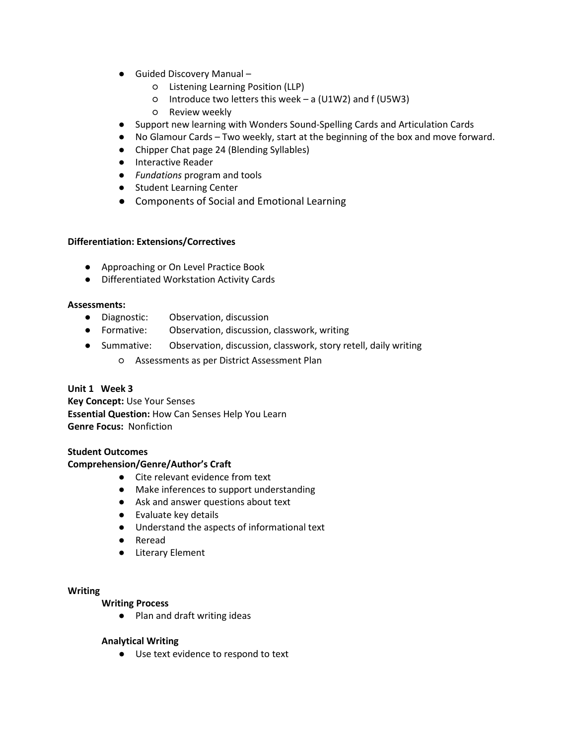- **●** Guided Discovery Manual
	- Listening Learning Position (LLP)
	- Introduce two letters this week a (U1W2) and f (U5W3)
	- Review weekly
- **●** Support new learning with Wonders Sound-Spelling Cards and Articulation Cards
- **●** No Glamour Cards Two weekly, start at the beginning of the box and move forward.
- **●** Chipper Chat page 24 (Blending Syllables)
- **●** Interactive Reader
- **●** *Fundations* program and tools
- **●** Student Learning Center
- **●** Components of Social and Emotional Learning

- Approaching or On Level Practice Book
- Differentiated Workstation Activity Cards

#### **Assessments:**

- Diagnostic: Observation, discussion
- Formative: Observation, discussion, classwork, writing
- Summative: Observation, discussion, classwork, story retell, daily writing
	- Assessments as per District Assessment Plan

## **Unit 1 Week 3**

**Key Concept:** Use Your Senses **Essential Question:** How Can Senses Help You Learn **Genre Focus:** Nonfiction

## **Student Outcomes**

## **Comprehension/Genre/Author's Craft**

- Cite relevant evidence from text
- Make inferences to support understanding
- Ask and answer questions about text
- Evaluate key details
- Understand the aspects of informational text
- Reread
- Literary Element

## **Writing**

## **Writing Process**

● Plan and draft writing ideas

## **Analytical Writing**

● Use text evidence to respond to text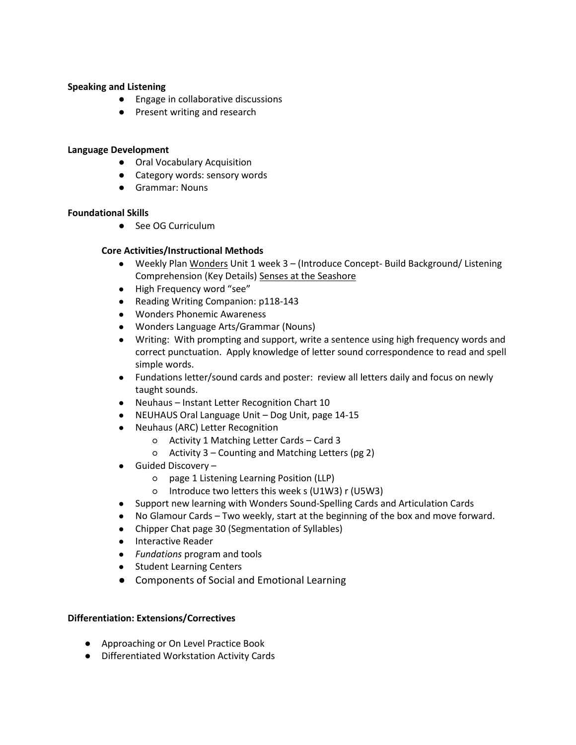## **Speaking and Listening**

- Engage in collaborative discussions
- Present writing and research

#### **Language Development**

- Oral Vocabulary Acquisition
- Category words: sensory words
- Grammar: Nouns

## **Foundational Skills**

● See OG Curriculum

## **Core Activities/Instructional Methods**

- **●** Weekly Plan Wonders Unit 1 week 3 (Introduce Concept- Build Background/ Listening Comprehension (Key Details) Senses at the Seashore
- **●** High Frequency word "see"
- **●** Reading Writing Companion: p118-143
- **●** Wonders Phonemic Awareness
- **●** Wonders Language Arts/Grammar (Nouns)
- **●** Writing: With prompting and support, write a sentence using high frequency words and correct punctuation. Apply knowledge of letter sound correspondence to read and spell simple words.
- **●** Fundations letter/sound cards and poster: review all letters daily and focus on newly taught sounds.
- **●** Neuhaus Instant Letter Recognition Chart 10
- **●** NEUHAUS Oral Language Unit Dog Unit, page 14-15
- **●** Neuhaus (ARC) Letter Recognition
	- Activity 1 Matching Letter Cards Card 3
	- Activity 3 Counting and Matching Letters (pg 2)
- **●** Guided Discovery
	- page 1 Listening Learning Position (LLP)
	- Introduce two letters this week s (U1W3) r (U5W3)
- **●** Support new learning with Wonders Sound-Spelling Cards and Articulation Cards
- **●** No Glamour Cards Two weekly, start at the beginning of the box and move forward.
- **●** Chipper Chat page 30 (Segmentation of Syllables)
- **●** Interactive Reader
- **●** *Fundations* program and tools
- **●** Student Learning Centers
- **●** Components of Social and Emotional Learning

## **Differentiation: Extensions/Correctives**

- Approaching or On Level Practice Book
- Differentiated Workstation Activity Cards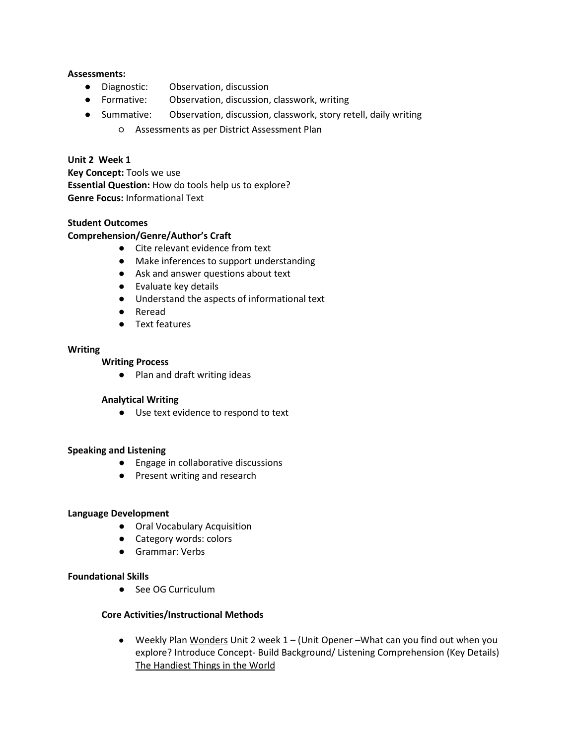## **Assessments:**

- Diagnostic: Observation, discussion
- Formative: Observation, discussion, classwork, writing
- Summative: Observation, discussion, classwork, story retell, daily writing
	- Assessments as per District Assessment Plan

## **Unit 2 Week 1**

**Key Concept:** Tools we use **Essential Question:** How do tools help us to explore? **Genre Focus:** Informational Text

## **Student Outcomes**

## **Comprehension/Genre/Author's Craft**

- Cite relevant evidence from text
- Make inferences to support understanding
- Ask and answer questions about text
- Evaluate key details
- Understand the aspects of informational text
- Reread
- Text features

#### **Writing**

## **Writing Process**

● Plan and draft writing ideas

## **Analytical Writing**

● Use text evidence to respond to text

#### **Speaking and Listening**

- Engage in collaborative discussions
- Present writing and research

#### **Language Development**

- Oral Vocabulary Acquisition
- Category words: colors
- Grammar: Verbs

#### **Foundational Skills**

● See OG Curriculum

## **Core Activities/Instructional Methods**

**●** Weekly Plan Wonders Unit 2 week 1 – (Unit Opener –What can you find out when you explore? Introduce Concept- Build Background/ Listening Comprehension (Key Details) The Handiest Things in the World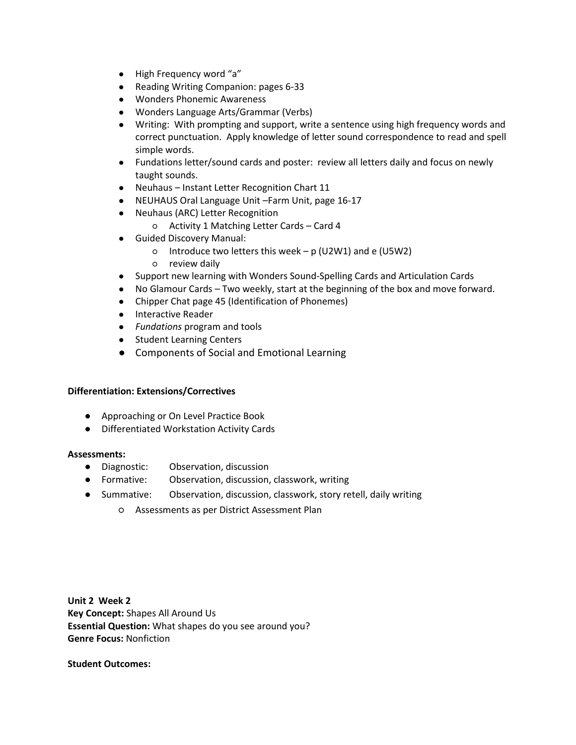- **●** High Frequency word "a"
- **●** Reading Writing Companion: pages 6-33
- **●** Wonders Phonemic Awareness
- **●** Wonders Language Arts/Grammar (Verbs)
- **●** Writing: With prompting and support, write a sentence using high frequency words and correct punctuation. Apply knowledge of letter sound correspondence to read and spell simple words.
- **●** Fundations letter/sound cards and poster: review all letters daily and focus on newly taught sounds.
- **●** Neuhaus Instant Letter Recognition Chart 11
- **●** NEUHAUS Oral Language Unit –Farm Unit, page 16-17
- **●** Neuhaus (ARC) Letter Recognition
	- Activity 1 Matching Letter Cards Card 4
- **●** Guided Discovery Manual:
	- Introduce two letters this week p (U2W1) and e (U5W2)
	- review daily
- **●** Support new learning with Wonders Sound-Spelling Cards and Articulation Cards
- **●** No Glamour Cards Two weekly, start at the beginning of the box and move forward.
- **●** Chipper Chat page 45 (Identification of Phonemes)
- **●** Interactive Reader
- **●** *Fundations* program and tools
- **●** Student Learning Centers
- **●** Components of Social and Emotional Learning

- Approaching or On Level Practice Book
- Differentiated Workstation Activity Cards

#### **Assessments:**

- Diagnostic: Observation, discussion
- Formative: Observation, discussion, classwork, writing
- Summative: Observation, discussion, classwork, story retell, daily writing
	- Assessments as per District Assessment Plan

**Unit 2 Week 2 Key Concept:** Shapes All Around Us **Essential Question:** What shapes do you see around you? **Genre Focus:** Nonfiction

**Student Outcomes:**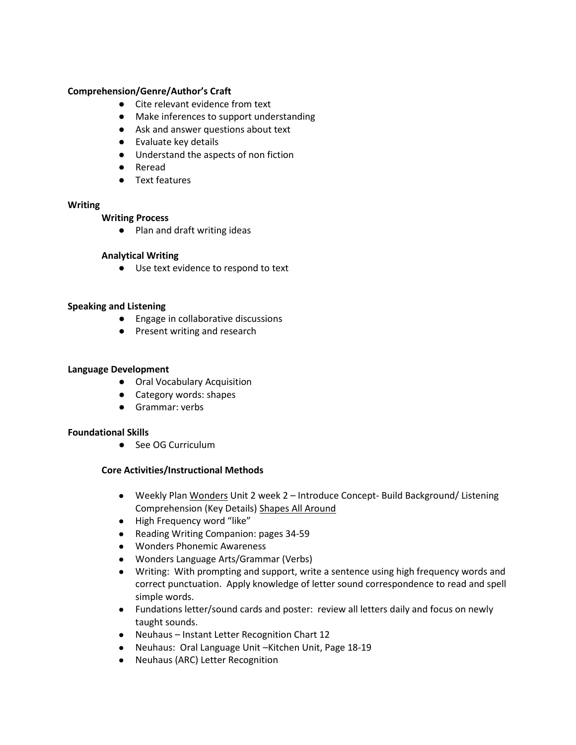## **Comprehension/Genre/Author's Craft**

- Cite relevant evidence from text
- Make inferences to support understanding
- Ask and answer questions about text
- Evaluate key details
- Understand the aspects of non fiction
- Reread
- Text features

#### **Writing**

#### **Writing Process**

● Plan and draft writing ideas

## **Analytical Writing**

● Use text evidence to respond to text

## **Speaking and Listening**

- Engage in collaborative discussions
- Present writing and research

#### **Language Development**

- Oral Vocabulary Acquisition
- Category words: shapes
- Grammar: verbs

## **Foundational Skills**

● See OG Curriculum

- **●** Weekly Plan Wonders Unit 2 week 2 Introduce Concept- Build Background/ Listening Comprehension (Key Details) Shapes All Around
- **●** High Frequency word "like"
- **●** Reading Writing Companion: pages 34-59
- **●** Wonders Phonemic Awareness
- **●** Wonders Language Arts/Grammar (Verbs)
- **●** Writing: With prompting and support, write a sentence using high frequency words and correct punctuation. Apply knowledge of letter sound correspondence to read and spell simple words.
- **●** Fundations letter/sound cards and poster: review all letters daily and focus on newly taught sounds.
- **●** Neuhaus Instant Letter Recognition Chart 12
- **●** Neuhaus: Oral Language Unit –Kitchen Unit, Page 18-19
- **●** Neuhaus (ARC) Letter Recognition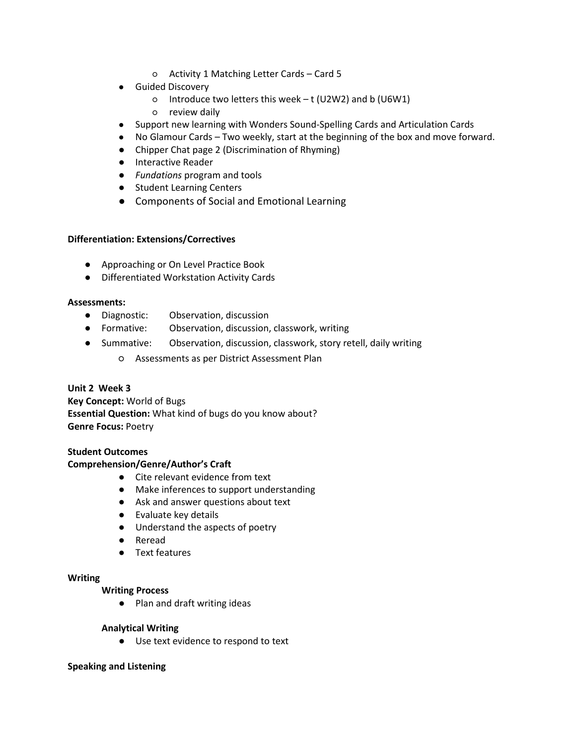- Activity 1 Matching Letter Cards Card 5
- **●** Guided Discovery
	- Introduce two letters this week t (U2W2) and b (U6W1)
	- review daily
- **●** Support new learning with Wonders Sound-Spelling Cards and Articulation Cards
- **●** No Glamour Cards Two weekly, start at the beginning of the box and move forward.
- **●** Chipper Chat page 2 (Discrimination of Rhyming)
- **●** Interactive Reader
- **●** *Fundations* program and tools
- **●** Student Learning Centers
- Components of Social and Emotional Learning

- Approaching or On Level Practice Book
- Differentiated Workstation Activity Cards

#### **Assessments:**

- Diagnostic: Observation, discussion
- Formative: Observation, discussion, classwork, writing
- Summative: Observation, discussion, classwork, story retell, daily writing
	- Assessments as per District Assessment Plan

## **Unit 2 Week 3**

**Key Concept:** World of Bugs **Essential Question:** What kind of bugs do you know about? **Genre Focus:** Poetry

## **Student Outcomes**

## **Comprehension/Genre/Author's Craft**

- Cite relevant evidence from text
- Make inferences to support understanding
- Ask and answer questions about text
- Evaluate key details
- Understand the aspects of poetry
- Reread
- Text features

#### **Writing**

#### **Writing Process**

● Plan and draft writing ideas

#### **Analytical Writing**

● Use text evidence to respond to text

#### **Speaking and Listening**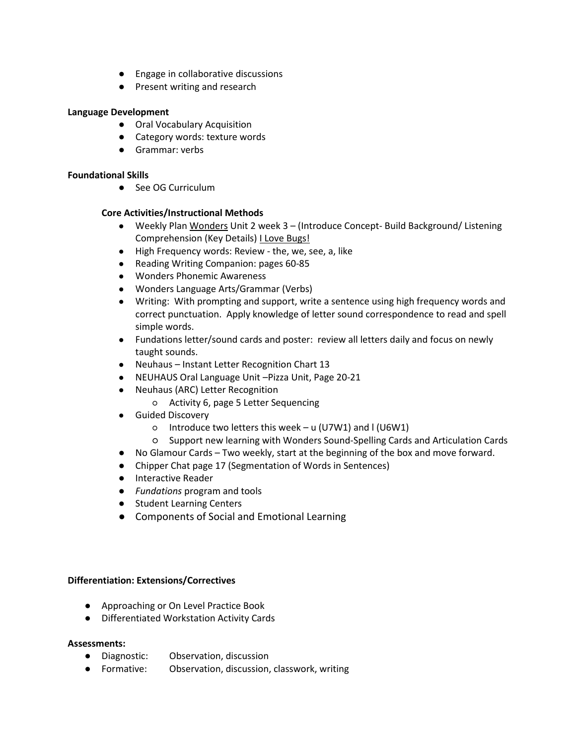- Engage in collaborative discussions
- Present writing and research

## **Language Development**

- Oral Vocabulary Acquisition
- Category words: texture words
- Grammar: verbs

## **Foundational Skills**

● See OG Curriculum

## **Core Activities/Instructional Methods**

- **●** Weekly Plan Wonders Unit 2 week 3 (Introduce Concept- Build Background/ Listening Comprehension (Key Details) I Love Bugs!
- **●** High Frequency words: Review the, we, see, a, like
- **●** Reading Writing Companion: pages 60-85
- **●** Wonders Phonemic Awareness
- **●** Wonders Language Arts/Grammar (Verbs)
- **●** Writing: With prompting and support, write a sentence using high frequency words and correct punctuation. Apply knowledge of letter sound correspondence to read and spell simple words.
- **●** Fundations letter/sound cards and poster: review all letters daily and focus on newly taught sounds.
- **●** Neuhaus Instant Letter Recognition Chart 13
- **●** NEUHAUS Oral Language Unit –Pizza Unit, Page 20-21
- **●** Neuhaus (ARC) Letter Recognition
	- Activity 6, page 5 Letter Sequencing
- **●** Guided Discovery
	- Introduce two letters this week u (U7W1) and l (U6W1)
	- Support new learning with Wonders Sound-Spelling Cards and Articulation Cards
- **●** No Glamour Cards Two weekly, start at the beginning of the box and move forward.
- **●** Chipper Chat page 17 (Segmentation of Words in Sentences)
- **●** Interactive Reader
- **●** *Fundations* program and tools
- **●** Student Learning Centers
- **●** Components of Social and Emotional Learning

## **Differentiation: Extensions/Correctives**

- Approaching or On Level Practice Book
- Differentiated Workstation Activity Cards

## **Assessments:**

- Diagnostic: Observation, discussion
- Formative: Observation, discussion, classwork, writing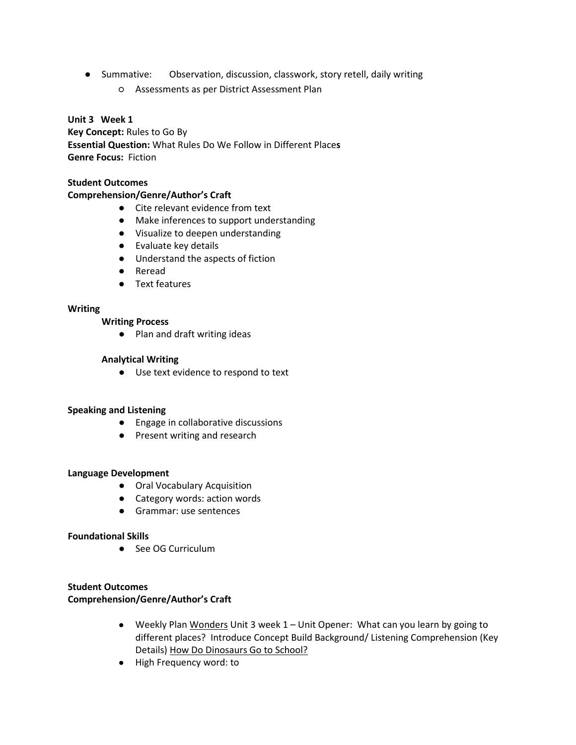- Summative: Observation, discussion, classwork, story retell, daily writing
	- Assessments as per District Assessment Plan

## **Unit 3 Week 1**

**Key Concept:** Rules to Go By **Essential Question:** What Rules Do We Follow in Different Place**s Genre Focus:** Fiction

#### **Student Outcomes**

#### **Comprehension/Genre/Author's Craft**

- Cite relevant evidence from text
- Make inferences to support understanding
- Visualize to deepen understanding
- Evaluate key details
- Understand the aspects of fiction
- Reread
- Text features

## **Writing**

#### **Writing Process**

● Plan and draft writing ideas

#### **Analytical Writing**

● Use text evidence to respond to text

## **Speaking and Listening**

- Engage in collaborative discussions
- Present writing and research

#### **Language Development**

- Oral Vocabulary Acquisition
- Category words: action words
- Grammar: use sentences

#### **Foundational Skills**

● See OG Curriculum

## **Student Outcomes**

## **Comprehension/Genre/Author's Craft**

- Weekly Plan Wonders Unit 3 week 1 Unit Opener: What can you learn by going to different places? Introduce Concept Build Background/ Listening Comprehension (Key Details) How Do Dinosaurs Go to School?
- High Frequency word: to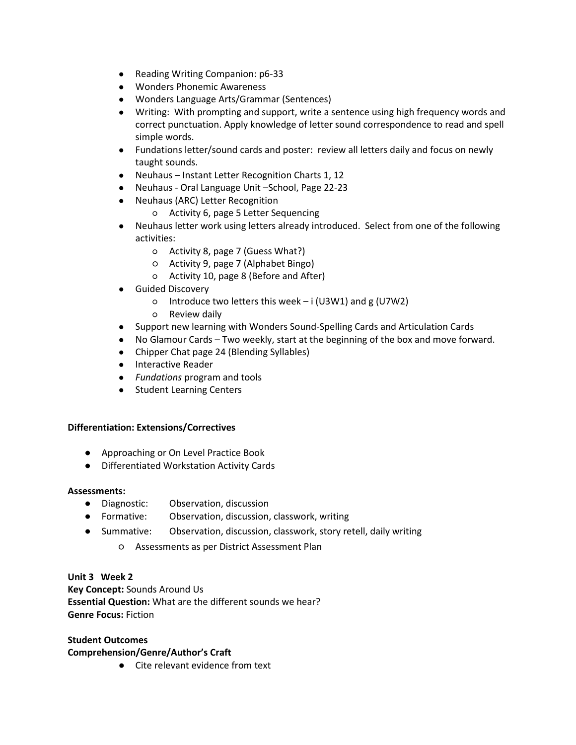- Reading Writing Companion: p6-33
- Wonders Phonemic Awareness
- Wonders Language Arts/Grammar (Sentences)
- Writing: With prompting and support, write a sentence using high frequency words and correct punctuation. Apply knowledge of letter sound correspondence to read and spell simple words.
- Fundations letter/sound cards and poster: review all letters daily and focus on newly taught sounds.
- Neuhaus Instant Letter Recognition Charts 1, 12
- Neuhaus Oral Language Unit –School, Page 22-23
- Neuhaus (ARC) Letter Recognition
	- Activity 6, page 5 Letter Sequencing
- Neuhaus letter work using letters already introduced. Select from one of the following activities:
	- Activity 8, page 7 (Guess What?)
	- Activity 9, page 7 (Alphabet Bingo)
	- Activity 10, page 8 (Before and After)
- Guided Discovery
	- Introduce two letters this week i (U3W1) and g (U7W2)
	- Review daily
- Support new learning with Wonders Sound-Spelling Cards and Articulation Cards
- No Glamour Cards Two weekly, start at the beginning of the box and move forward.
- Chipper Chat page 24 (Blending Syllables)
- Interactive Reader
- *Fundations* program and tools
- Student Learning Centers

- Approaching or On Level Practice Book
- Differentiated Workstation Activity Cards

#### **Assessments:**

- Diagnostic: Observation, discussion
- Formative: Observation, discussion, classwork, writing
- Summative: Observation, discussion, classwork, story retell, daily writing
	- Assessments as per District Assessment Plan

**Unit 3 Week 2 Key Concept:** Sounds Around Us **Essential Question:** What are the different sounds we hear? **Genre Focus:** Fiction

#### **Student Outcomes Comprehension/Genre/Author's Craft**

● Cite relevant evidence from text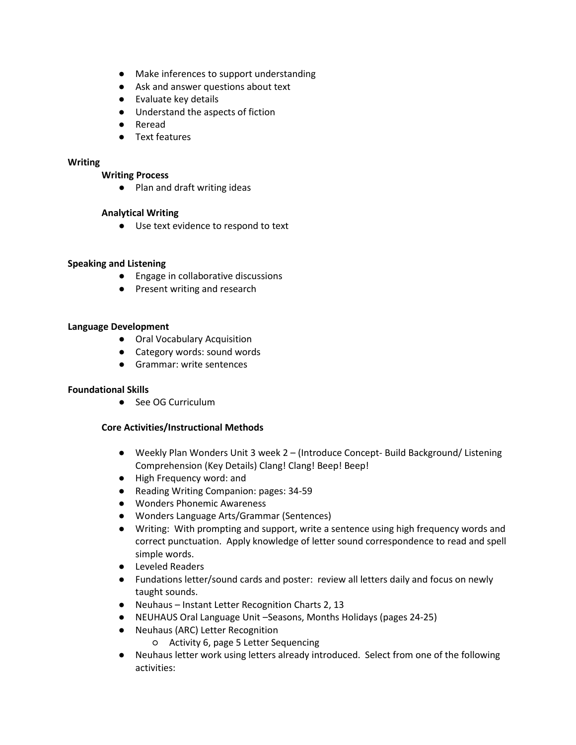- Make inferences to support understanding
- Ask and answer questions about text
- Evaluate key details
- Understand the aspects of fiction
- Reread
- Text features

## **Writing**

## **Writing Process**

● Plan and draft writing ideas

## **Analytical Writing**

● Use text evidence to respond to text

## **Speaking and Listening**

- Engage in collaborative discussions
- Present writing and research

## **Language Development**

- Oral Vocabulary Acquisition
- Category words: sound words
- Grammar: write sentences

## **Foundational Skills**

● See OG Curriculum

- **●** Weekly Plan Wonders Unit 3 week 2 (Introduce Concept- Build Background/ Listening Comprehension (Key Details) Clang! Clang! Beep! Beep!
- **●** High Frequency word: and
- **●** Reading Writing Companion: pages: 34-59
- **●** Wonders Phonemic Awareness
- **●** Wonders Language Arts/Grammar (Sentences)
- **●** Writing: With prompting and support, write a sentence using high frequency words and correct punctuation. Apply knowledge of letter sound correspondence to read and spell simple words.
- **●** Leveled Readers
- **●** Fundations letter/sound cards and poster: review all letters daily and focus on newly taught sounds.
- **●** Neuhaus Instant Letter Recognition Charts 2, 13
- **●** NEUHAUS Oral Language Unit –Seasons, Months Holidays (pages 24-25)
- **●** Neuhaus (ARC) Letter Recognition
	- Activity 6, page 5 Letter Sequencing
- **●** Neuhaus letter work using letters already introduced. Select from one of the following activities: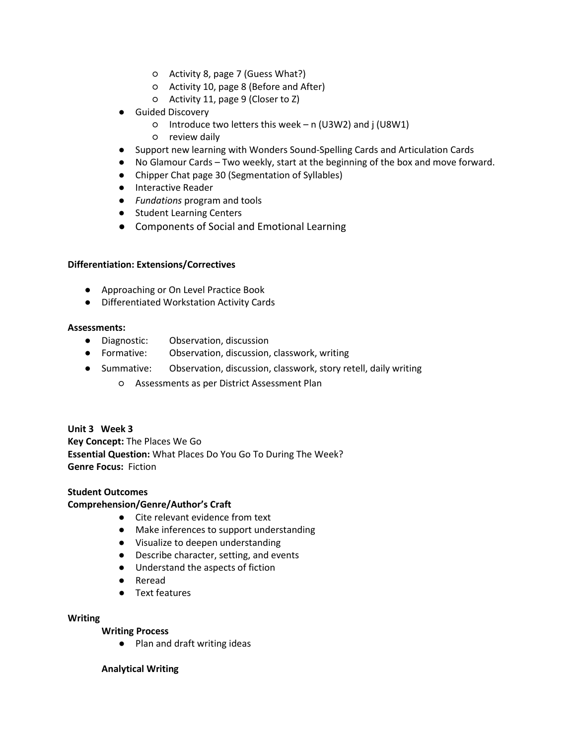- Activity 8, page 7 (Guess What?)
- Activity 10, page 8 (Before and After)
- Activity 11, page 9 (Closer to Z)
- **●** Guided Discovery
	- Introduce two letters this week n (U3W2) and j (U8W1)
	- review daily
- **●** Support new learning with Wonders Sound-Spelling Cards and Articulation Cards
- **●** No Glamour Cards Two weekly, start at the beginning of the box and move forward.
- **●** Chipper Chat page 30 (Segmentation of Syllables)
- **●** Interactive Reader
- **●** *Fundations* program and tools
- **●** Student Learning Centers
- Components of Social and Emotional Learning

- Approaching or On Level Practice Book
- Differentiated Workstation Activity Cards

#### **Assessments:**

- Diagnostic: Observation, discussion
- Formative: Observation, discussion, classwork, writing
- Summative: Observation, discussion, classwork, story retell, daily writing
	- Assessments as per District Assessment Plan

## **Unit 3 Week 3**

**Key Concept:** The Places We Go **Essential Question:** What Places Do You Go To During The Week? **Genre Focus:** Fiction

## **Student Outcomes**

## **Comprehension/Genre/Author's Craft**

- Cite relevant evidence from text
- Make inferences to support understanding
- Visualize to deepen understanding
- Describe character, setting, and events
- Understand the aspects of fiction
- Reread
- Text features

#### **Writing**

## **Writing Process**

● Plan and draft writing ideas

#### **Analytical Writing**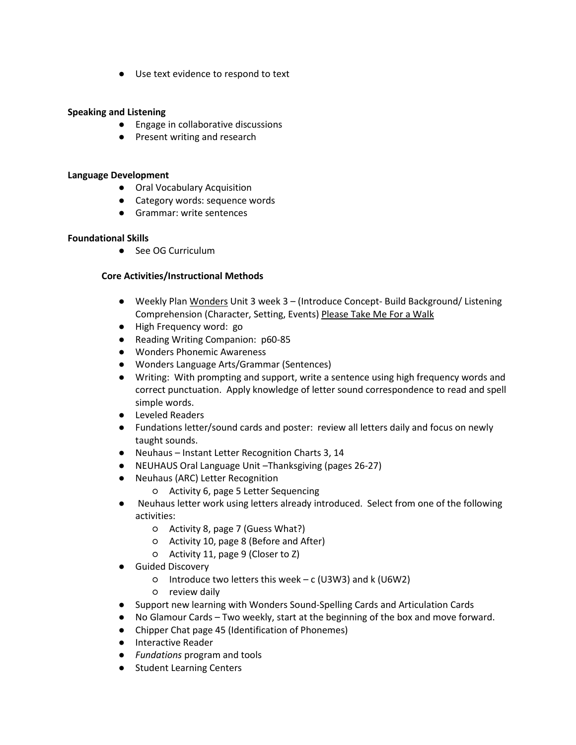● Use text evidence to respond to text

## **Speaking and Listening**

- Engage in collaborative discussions
- Present writing and research

#### **Language Development**

- Oral Vocabulary Acquisition
- Category words: sequence words
- Grammar: write sentences

## **Foundational Skills**

● See OG Curriculum

- **●** Weekly Plan Wonders Unit 3 week 3 (Introduce Concept- Build Background/ Listening Comprehension (Character, Setting, Events) Please Take Me For a Walk
- **●** High Frequency word: go
- **●** Reading Writing Companion: p60-85
- **●** Wonders Phonemic Awareness
- **●** Wonders Language Arts/Grammar (Sentences)
- **●** Writing: With prompting and support, write a sentence using high frequency words and correct punctuation. Apply knowledge of letter sound correspondence to read and spell simple words.
- **●** Leveled Readers
- **●** Fundations letter/sound cards and poster: review all letters daily and focus on newly taught sounds.
- **●** Neuhaus Instant Letter Recognition Charts 3, 14
- **●** NEUHAUS Oral Language Unit –Thanksgiving (pages 26-27)
- **●** Neuhaus (ARC) Letter Recognition
	- Activity 6, page 5 Letter Sequencing
- **●** Neuhaus letter work using letters already introduced. Select from one of the following activities:
	- Activity 8, page 7 (Guess What?)
	- Activity 10, page 8 (Before and After)
	- Activity 11, page 9 (Closer to Z)
- **●** Guided Discovery
	- Introduce two letters this week c (U3W3) and k (U6W2)
	- review daily
- **●** Support new learning with Wonders Sound-Spelling Cards and Articulation Cards
- **●** No Glamour Cards Two weekly, start at the beginning of the box and move forward.
- **●** Chipper Chat page 45 (Identification of Phonemes)
- **●** Interactive Reader
- **●** *Fundations* program and tools
- **●** Student Learning Centers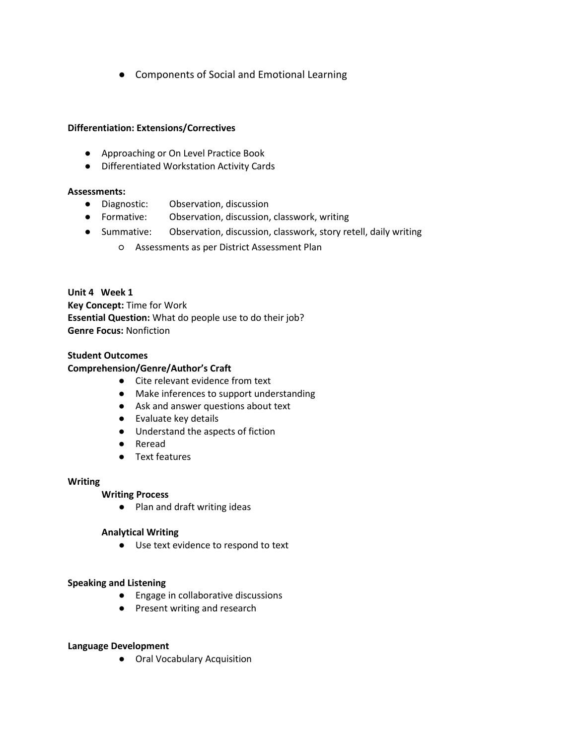**●** Components of Social and Emotional Learning

## **Differentiation: Extensions/Correctives**

- Approaching or On Level Practice Book
- Differentiated Workstation Activity Cards

## **Assessments:**

- Diagnostic: Observation, discussion
- Formative: Observation, discussion, classwork, writing
- Summative: Observation, discussion, classwork, story retell, daily writing
	- Assessments as per District Assessment Plan

## **Unit 4 Week 1**

**Key Concept:** Time for Work **Essential Question:** What do people use to do their job? **Genre Focus:** Nonfiction

## **Student Outcomes**

## **Comprehension/Genre/Author's Craft**

- Cite relevant evidence from text
- Make inferences to support understanding
- Ask and answer questions about text
- Evaluate key details
- Understand the aspects of fiction
- Reread
- Text features

## **Writing**

## **Writing Process**

● Plan and draft writing ideas

## **Analytical Writing**

● Use text evidence to respond to text

## **Speaking and Listening**

- Engage in collaborative discussions
- Present writing and research

## **Language Development**

● Oral Vocabulary Acquisition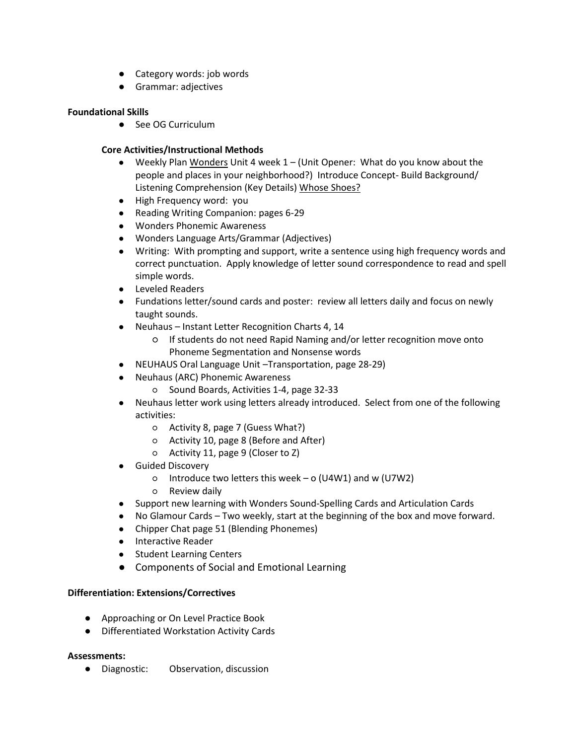- Category words: job words
- Grammar: adjectives

## **Foundational Skills**

● See OG Curriculum

## **Core Activities/Instructional Methods**

- **●** Weekly Plan Wonders Unit 4 week 1 (Unit Opener: What do you know about the people and places in your neighborhood?) Introduce Concept- Build Background/ Listening Comprehension (Key Details) Whose Shoes?
- **●** High Frequency word: you
- **●** Reading Writing Companion: pages 6-29
- **●** Wonders Phonemic Awareness
- **●** Wonders Language Arts/Grammar (Adjectives)
- **●** Writing: With prompting and support, write a sentence using high frequency words and correct punctuation. Apply knowledge of letter sound correspondence to read and spell simple words.
- **●** Leveled Readers
- **●** Fundations letter/sound cards and poster: review all letters daily and focus on newly taught sounds.
- **●** Neuhaus Instant Letter Recognition Charts 4, 14
	- If students do not need Rapid Naming and/or letter recognition move onto Phoneme Segmentation and Nonsense words
- **●** NEUHAUS Oral Language Unit –Transportation, page 28-29)
- **●** Neuhaus (ARC) Phonemic Awareness
	- Sound Boards, Activities 1-4, page 32-33
- **●** Neuhaus letter work using letters already introduced. Select from one of the following activities:
	- Activity 8, page 7 (Guess What?)
	- Activity 10, page 8 (Before and After)
	- Activity 11, page 9 (Closer to Z)
- **●** Guided Discovery
	- $\circ$  Introduce two letters this week o (U4W1) and w (U7W2)
	- Review daily
- **●** Support new learning with Wonders Sound-Spelling Cards and Articulation Cards
- **●** No Glamour Cards Two weekly, start at the beginning of the box and move forward.
- **●** Chipper Chat page 51 (Blending Phonemes)
- **●** Interactive Reader
- **●** Student Learning Centers
- **●** Components of Social and Emotional Learning

## **Differentiation: Extensions/Correctives**

- Approaching or On Level Practice Book
- Differentiated Workstation Activity Cards

## **Assessments:**

● Diagnostic: Observation, discussion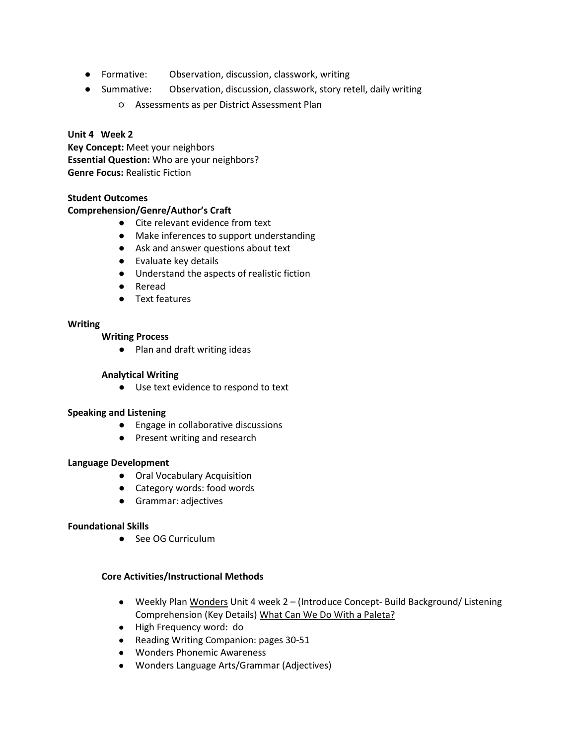- Formative: Observation, discussion, classwork, writing
- Summative: Observation, discussion, classwork, story retell, daily writing
	- Assessments as per District Assessment Plan

## **Unit 4 Week 2**

**Key Concept:** Meet your neighbors **Essential Question:** Who are your neighbors? **Genre Focus:** Realistic Fiction

## **Student Outcomes**

## **Comprehension/Genre/Author's Craft**

- Cite relevant evidence from text
- Make inferences to support understanding
- Ask and answer questions about text
- Evaluate key details
- Understand the aspects of realistic fiction
- Reread
- Text features

## **Writing**

## **Writing Process**

● Plan and draft writing ideas

## **Analytical Writing**

● Use text evidence to respond to text

## **Speaking and Listening**

- Engage in collaborative discussions
- Present writing and research

## **Language Development**

- Oral Vocabulary Acquisition
- Category words: food words
- Grammar: adjectives

## **Foundational Skills**

● See OG Curriculum

- **●** Weekly Plan Wonders Unit 4 week 2 (Introduce Concept- Build Background/ Listening Comprehension (Key Details) What Can We Do With a Paleta?
- **●** High Frequency word: do
- **●** Reading Writing Companion: pages 30-51
- **●** Wonders Phonemic Awareness
- **●** Wonders Language Arts/Grammar (Adjectives)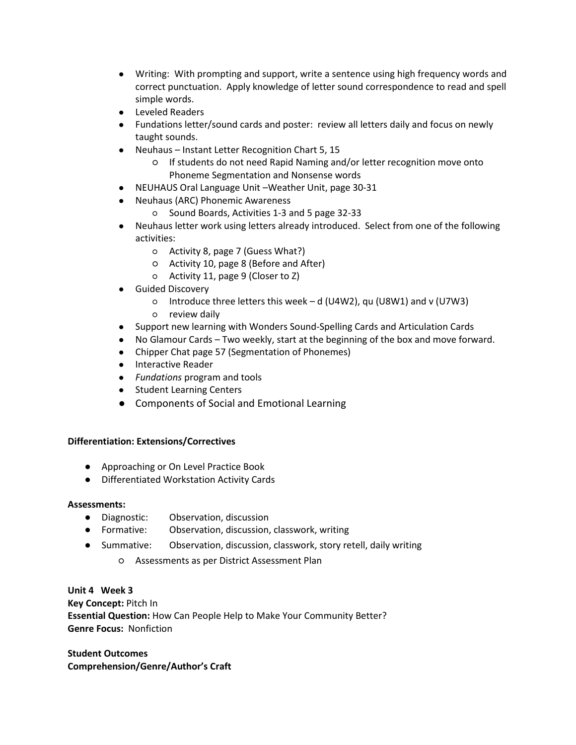- **●** Writing: With prompting and support, write a sentence using high frequency words and correct punctuation. Apply knowledge of letter sound correspondence to read and spell simple words.
- **●** Leveled Readers
- **●** Fundations letter/sound cards and poster: review all letters daily and focus on newly taught sounds.
- **●** Neuhaus Instant Letter Recognition Chart 5, 15
	- If students do not need Rapid Naming and/or letter recognition move onto Phoneme Segmentation and Nonsense words
- **●** NEUHAUS Oral Language Unit –Weather Unit, page 30-31
- **●** Neuhaus (ARC) Phonemic Awareness
	- Sound Boards, Activities 1-3 and 5 page 32-33
- **●** Neuhaus letter work using letters already introduced. Select from one of the following activities:
	- Activity 8, page 7 (Guess What?)
	- Activity 10, page 8 (Before and After)
	- Activity 11, page 9 (Closer to Z)
- **●** Guided Discovery
	- Introduce three letters this week d (U4W2), qu (U8W1) and v (U7W3)
	- review daily
- **●** Support new learning with Wonders Sound-Spelling Cards and Articulation Cards
- **●** No Glamour Cards Two weekly, start at the beginning of the box and move forward.
- **●** Chipper Chat page 57 (Segmentation of Phonemes)
- **●** Interactive Reader
- **●** *Fundations* program and tools
- **●** Student Learning Centers
- **●** Components of Social and Emotional Learning

- Approaching or On Level Practice Book
- Differentiated Workstation Activity Cards

## **Assessments:**

- Diagnostic: Observation, discussion
- Formative: Observation, discussion, classwork, writing
- Summative: Observation, discussion, classwork, story retell, daily writing
	- Assessments as per District Assessment Plan

**Unit 4 Week 3 Key Concept:** Pitch In **Essential Question:** How Can People Help to Make Your Community Better? **Genre Focus:** Nonfiction

**Student Outcomes Comprehension/Genre/Author's Craft**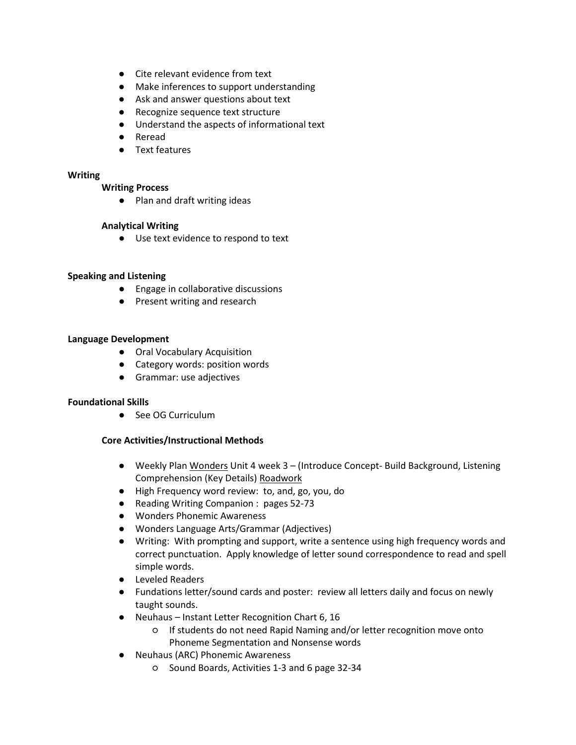- Cite relevant evidence from text
- Make inferences to support understanding
- Ask and answer questions about text
- Recognize sequence text structure
- Understand the aspects of informational text
- Reread
- Text features

#### **Writing**

#### **Writing Process**

● Plan and draft writing ideas

#### **Analytical Writing**

● Use text evidence to respond to text

#### **Speaking and Listening**

- Engage in collaborative discussions
- Present writing and research

#### **Language Development**

- Oral Vocabulary Acquisition
- Category words: position words
- Grammar: use adjectives

#### **Foundational Skills**

● See OG Curriculum

- **●** Weekly Plan Wonders Unit 4 week 3 (Introduce Concept- Build Background, Listening Comprehension (Key Details) Roadwork
- **●** High Frequency word review: to, and, go, you, do
- **●** Reading Writing Companion : pages 52-73
- **●** Wonders Phonemic Awareness
- **●** Wonders Language Arts/Grammar (Adjectives)
- **●** Writing: With prompting and support, write a sentence using high frequency words and correct punctuation. Apply knowledge of letter sound correspondence to read and spell simple words.
- **●** Leveled Readers
- **●** Fundations letter/sound cards and poster: review all letters daily and focus on newly taught sounds.
- **●** Neuhaus Instant Letter Recognition Chart 6, 16
	- If students do not need Rapid Naming and/or letter recognition move onto Phoneme Segmentation and Nonsense words
- **●** Neuhaus (ARC) Phonemic Awareness
	- Sound Boards, Activities 1-3 and 6 page 32-34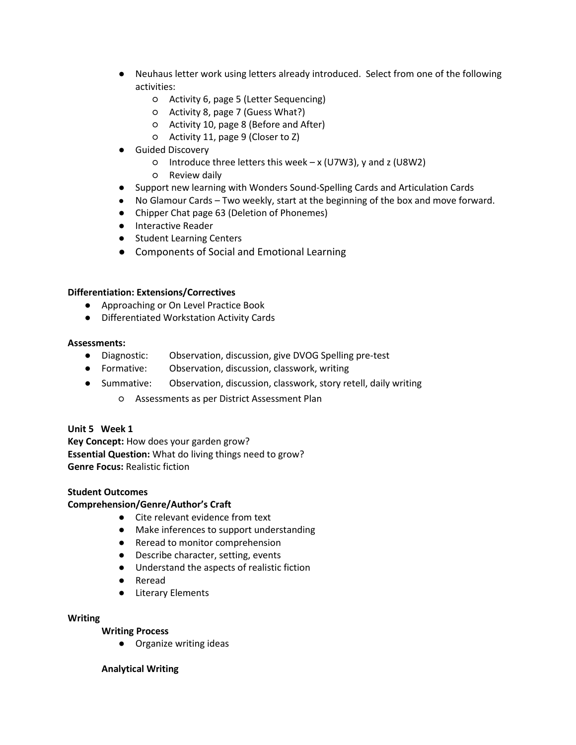- **●** Neuhaus letter work using letters already introduced. Select from one of the following activities:
	- Activity 6, page 5 (Letter Sequencing)
	- Activity 8, page 7 (Guess What?)
	- Activity 10, page 8 (Before and After)
	- Activity 11, page 9 (Closer to Z)
- **●** Guided Discovery
	- Introduce three letters this week x (U7W3), y and z (U8W2)
	- Review daily
- **●** Support new learning with Wonders Sound-Spelling Cards and Articulation Cards
- No Glamour Cards Two weekly, start at the beginning of the box and move forward.
- **●** Chipper Chat page 63 (Deletion of Phonemes)
- **●** Interactive Reader
- **●** Student Learning Centers
- **●** Components of Social and Emotional Learning

- Approaching or On Level Practice Book
- Differentiated Workstation Activity Cards

#### **Assessments:**

- Diagnostic: Observation, discussion, give DVOG Spelling pre-test
- Formative: Observation, discussion, classwork, writing
- Summative: Observation, discussion, classwork, story retell, daily writing
	- Assessments as per District Assessment Plan

## **Unit 5 Week 1**

**Key Concept:** How does your garden grow? **Essential Question:** What do living things need to grow? **Genre Focus:** Realistic fiction

#### **Student Outcomes**

## **Comprehension/Genre/Author's Craft**

- Cite relevant evidence from text
- Make inferences to support understanding
- Reread to monitor comprehension
- Describe character, setting, events
- Understand the aspects of realistic fiction
- Reread
- Literary Elements

#### **Writing**

## **Writing Process**

● Organize writing ideas

#### **Analytical Writing**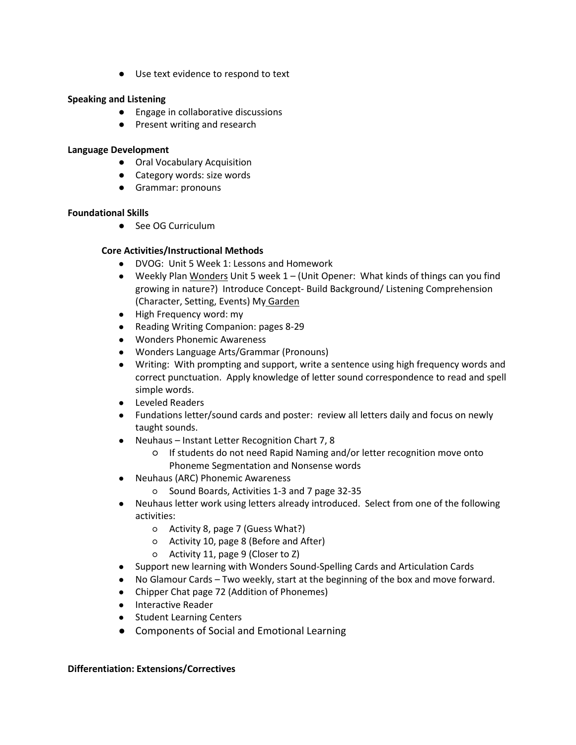● Use text evidence to respond to text

## **Speaking and Listening**

- Engage in collaborative discussions
- Present writing and research

## **Language Development**

- Oral Vocabulary Acquisition
- Category words: size words
- Grammar: pronouns

## **Foundational Skills**

● See OG Curriculum

## **Core Activities/Instructional Methods**

- **●** DVOG: Unit 5 Week 1: Lessons and Homework
- **●** Weekly Plan Wonders Unit 5 week 1 (Unit Opener: What kinds of things can you find growing in nature?) Introduce Concept- Build Background/ Listening Comprehension (Character, Setting, Events) My Garden
- **●** High Frequency word: my
- **●** Reading Writing Companion: pages 8-29
- **●** Wonders Phonemic Awareness
- **●** Wonders Language Arts/Grammar (Pronouns)
- **●** Writing: With prompting and support, write a sentence using high frequency words and correct punctuation. Apply knowledge of letter sound correspondence to read and spell simple words.
- **●** Leveled Readers
- **●** Fundations letter/sound cards and poster: review all letters daily and focus on newly taught sounds.
- **●** Neuhaus Instant Letter Recognition Chart 7, 8
	- If students do not need Rapid Naming and/or letter recognition move onto Phoneme Segmentation and Nonsense words
- **●** Neuhaus (ARC) Phonemic Awareness
	- Sound Boards, Activities 1-3 and 7 page 32-35
- **●** Neuhaus letter work using letters already introduced. Select from one of the following activities:
	- Activity 8, page 7 (Guess What?)
	- Activity 10, page 8 (Before and After)
	- Activity 11, page 9 (Closer to Z)
- **●** Support new learning with Wonders Sound-Spelling Cards and Articulation Cards
- No Glamour Cards Two weekly, start at the beginning of the box and move forward.
- **●** Chipper Chat page 72 (Addition of Phonemes)
- **●** Interactive Reader
- **●** Student Learning Centers
- **●** Components of Social and Emotional Learning

## **Differentiation: Extensions/Correctives**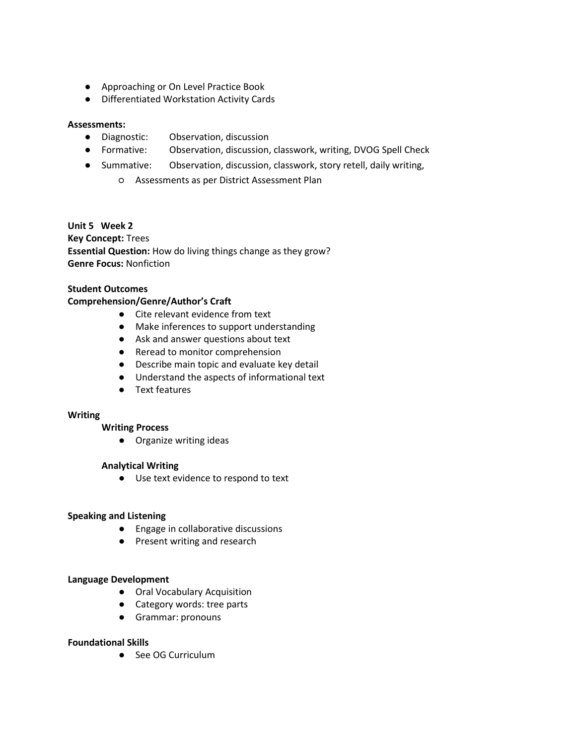- Approaching or On Level Practice Book
- Differentiated Workstation Activity Cards

## **Assessments:**

- Diagnostic: Observation, discussion
- Formative: Observation, discussion, classwork, writing, DVOG Spell Check
- Summative: Observation, discussion, classwork, story retell, daily writing,
	- Assessments as per District Assessment Plan

#### **Unit 5 Week 2**

**Key Concept:** Trees **Essential Question:** How do living things change as they grow? **Genre Focus:** Nonfiction

## **Student Outcomes**

#### **Comprehension/Genre/Author's Craft**

- Cite relevant evidence from text
- Make inferences to support understanding
- Ask and answer questions about text
- Reread to monitor comprehension
- Describe main topic and evaluate key detail
- Understand the aspects of informational text
- Text features

#### **Writing**

#### **Writing Process**

● Organize writing ideas

#### **Analytical Writing**

● Use text evidence to respond to text

#### **Speaking and Listening**

- Engage in collaborative discussions
- Present writing and research

## **Language Development**

- Oral Vocabulary Acquisition
- Category words: tree parts
- Grammar: pronouns

#### **Foundational Skills**

● See OG Curriculum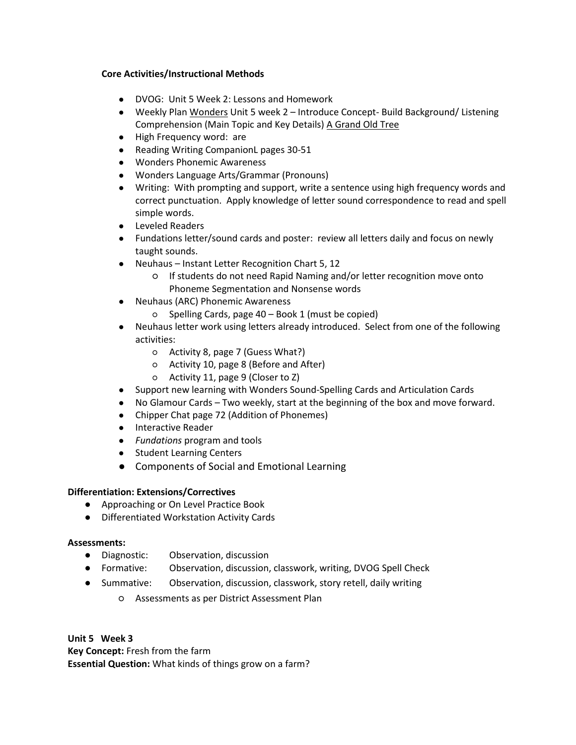## **Core Activities/Instructional Methods**

- **●** DVOG: Unit 5 Week 2: Lessons and Homework
- **●** Weekly Plan Wonders Unit 5 week 2 Introduce Concept- Build Background/ Listening Comprehension (Main Topic and Key Details) A Grand Old Tree
- **●** High Frequency word: are
- **●** Reading Writing CompanionL pages 30-51
- **●** Wonders Phonemic Awareness
- **●** Wonders Language Arts/Grammar (Pronouns)
- **●** Writing: With prompting and support, write a sentence using high frequency words and correct punctuation. Apply knowledge of letter sound correspondence to read and spell simple words.
- **●** Leveled Readers
- **●** Fundations letter/sound cards and poster: review all letters daily and focus on newly taught sounds.
- **●** Neuhaus Instant Letter Recognition Chart 5, 12
	- If students do not need Rapid Naming and/or letter recognition move onto Phoneme Segmentation and Nonsense words
- **●** Neuhaus (ARC) Phonemic Awareness
	- Spelling Cards, page 40 Book 1 (must be copied)
- **●** Neuhaus letter work using letters already introduced. Select from one of the following activities:
	- Activity 8, page 7 (Guess What?)
	- Activity 10, page 8 (Before and After)
	- Activity 11, page 9 (Closer to Z)
- **●** Support new learning with Wonders Sound-Spelling Cards and Articulation Cards
- No Glamour Cards Two weekly, start at the beginning of the box and move forward.
- **●** Chipper Chat page 72 (Addition of Phonemes)
- **●** Interactive Reader
- **●** *Fundations* program and tools
- **●** Student Learning Centers
- **●** Components of Social and Emotional Learning

## **Differentiation: Extensions/Correctives**

- Approaching or On Level Practice Book
- Differentiated Workstation Activity Cards

## **Assessments:**

- Diagnostic: Observation, discussion
- Formative: Observation, discussion, classwork, writing, DVOG Spell Check
- Summative: Observation, discussion, classwork, story retell, daily writing
	- Assessments as per District Assessment Plan

**Unit 5 Week 3 Key Concept:** Fresh from the farm **Essential Question:** What kinds of things grow on a farm?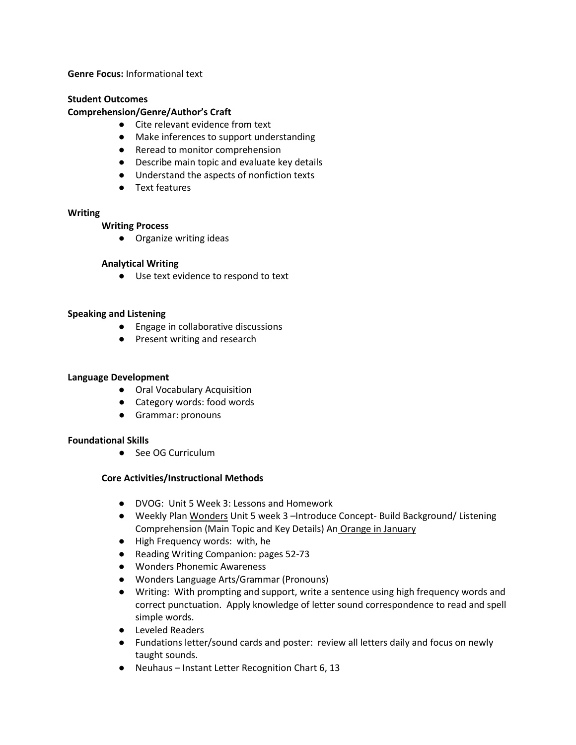**Genre Focus:** Informational text

## **Student Outcomes**

#### **Comprehension/Genre/Author's Craft**

- Cite relevant evidence from text
- Make inferences to support understanding
- Reread to monitor comprehension
- Describe main topic and evaluate key details
- Understand the aspects of nonfiction texts
- Text features

#### **Writing**

#### **Writing Process**

● Organize writing ideas

## **Analytical Writing**

● Use text evidence to respond to text

#### **Speaking and Listening**

- Engage in collaborative discussions
- Present writing and research

## **Language Development**

- Oral Vocabulary Acquisition
- Category words: food words
- Grammar: pronouns

## **Foundational Skills**

● See OG Curriculum

- **●** DVOG: Unit 5 Week 3: Lessons and Homework
- **●** Weekly Plan Wonders Unit 5 week 3 –Introduce Concept- Build Background/ Listening Comprehension (Main Topic and Key Details) An Orange in January
- **●** High Frequency words: with, he
- **●** Reading Writing Companion: pages 52-73
- **●** Wonders Phonemic Awareness
- **●** Wonders Language Arts/Grammar (Pronouns)
- **●** Writing: With prompting and support, write a sentence using high frequency words and correct punctuation. Apply knowledge of letter sound correspondence to read and spell simple words.
- **●** Leveled Readers
- **●** Fundations letter/sound cards and poster: review all letters daily and focus on newly taught sounds.
- **●** Neuhaus Instant Letter Recognition Chart 6, 13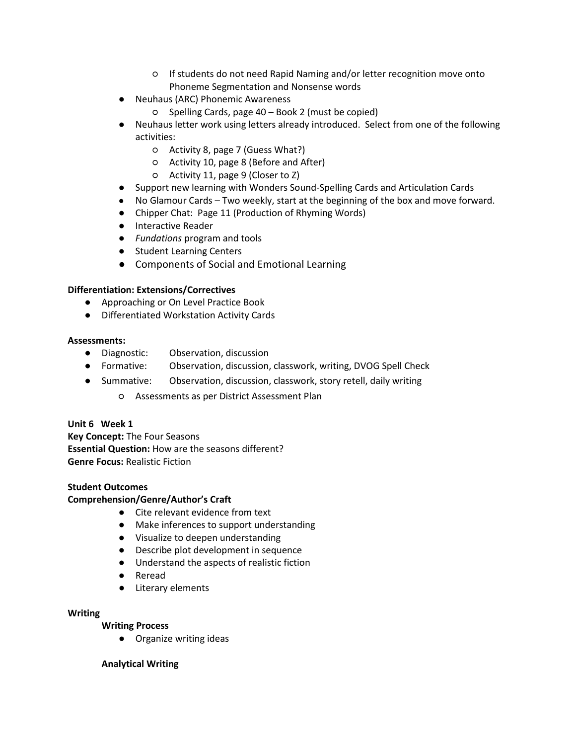- If students do not need Rapid Naming and/or letter recognition move onto Phoneme Segmentation and Nonsense words
- **●** Neuhaus (ARC) Phonemic Awareness
	- Spelling Cards, page 40 Book 2 (must be copied)
- **●** Neuhaus letter work using letters already introduced. Select from one of the following activities:
	- Activity 8, page 7 (Guess What?)
	- Activity 10, page 8 (Before and After)
	- Activity 11, page 9 (Closer to Z)
- **●** Support new learning with Wonders Sound-Spelling Cards and Articulation Cards
- No Glamour Cards Two weekly, start at the beginning of the box and move forward.
- **●** Chipper Chat: Page 11 (Production of Rhyming Words)
- **●** Interactive Reader
- **●** *Fundations* program and tools
- **●** Student Learning Centers
- **●** Components of Social and Emotional Learning

- Approaching or On Level Practice Book
- Differentiated Workstation Activity Cards

#### **Assessments:**

- Diagnostic: Observation, discussion
- Formative: Observation, discussion, classwork, writing, DVOG Spell Check
- Summative: Observation, discussion, classwork, story retell, daily writing
	- Assessments as per District Assessment Plan

## **Unit 6 Week 1**

**Key Concept:** The Four Seasons **Essential Question:** How are the seasons different? **Genre Focus:** Realistic Fiction

#### **Student Outcomes**

## **Comprehension/Genre/Author's Craft**

- Cite relevant evidence from text
- Make inferences to support understanding
- Visualize to deepen understanding
- Describe plot development in sequence
- Understand the aspects of realistic fiction
- Reread
- Literary elements

#### **Writing**

**Writing Process**

● Organize writing ideas

## **Analytical Writing**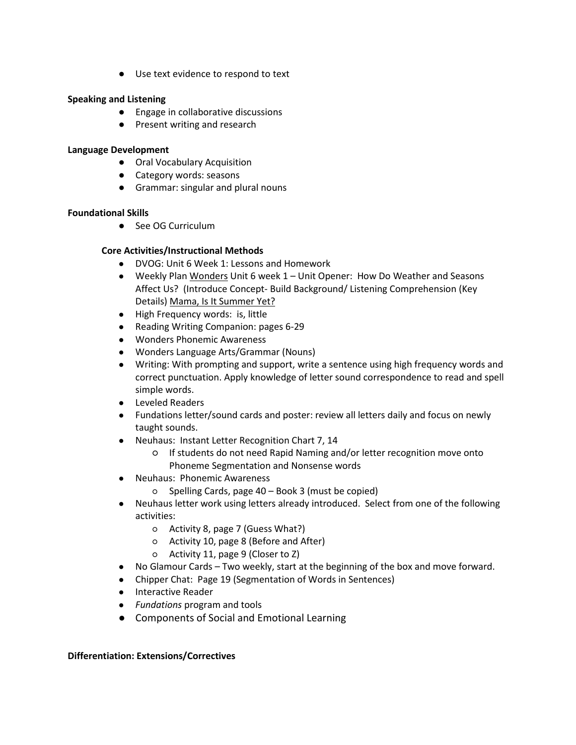● Use text evidence to respond to text

## **Speaking and Listening**

- Engage in collaborative discussions
- Present writing and research

## **Language Development**

- Oral Vocabulary Acquisition
- Category words: seasons
- Grammar: singular and plural nouns

## **Foundational Skills**

● See OG Curriculum

## **Core Activities/Instructional Methods**

- **●** DVOG: Unit 6 Week 1: Lessons and Homework
- **●** Weekly Plan Wonders Unit 6 week 1 Unit Opener: How Do Weather and Seasons Affect Us? (Introduce Concept- Build Background/ Listening Comprehension (Key Details) Mama, Is It Summer Yet?
- **●** High Frequency words: is, little
- **●** Reading Writing Companion: pages 6-29
- **●** Wonders Phonemic Awareness
- **●** Wonders Language Arts/Grammar (Nouns)
- **●** Writing: With prompting and support, write a sentence using high frequency words and correct punctuation. Apply knowledge of letter sound correspondence to read and spell simple words.
- **●** Leveled Readers
- **●** Fundations letter/sound cards and poster: review all letters daily and focus on newly taught sounds.
- **●** Neuhaus: Instant Letter Recognition Chart 7, 14
	- If students do not need Rapid Naming and/or letter recognition move onto Phoneme Segmentation and Nonsense words
- **●** Neuhaus: Phonemic Awareness
	- Spelling Cards, page 40 Book 3 (must be copied)
- **●** Neuhaus letter work using letters already introduced. Select from one of the following activities:
	- Activity 8, page 7 (Guess What?)
	- Activity 10, page 8 (Before and After)
	- Activity 11, page 9 (Closer to Z)
- **●** No Glamour Cards Two weekly, start at the beginning of the box and move forward.
- **●** Chipper Chat: Page 19 (Segmentation of Words in Sentences)
- **●** Interactive Reader
- **●** *Fundations* program and tools
- **●** Components of Social and Emotional Learning

## **Differentiation: Extensions/Correctives**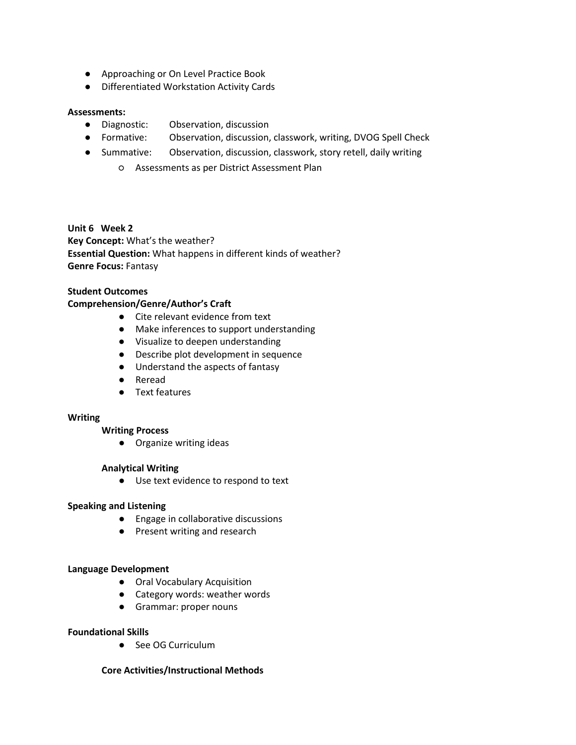- Approaching or On Level Practice Book
- Differentiated Workstation Activity Cards

#### **Assessments:**

- Diagnostic: Observation, discussion
- Formative: Observation, discussion, classwork, writing, DVOG Spell Check
- Summative: Observation, discussion, classwork, story retell, daily writing
	- Assessments as per District Assessment Plan

#### **Unit 6 Week 2**

**Key Concept:** What's the weather? **Essential Question:** What happens in different kinds of weather? **Genre Focus:** Fantasy

## **Student Outcomes**

## **Comprehension/Genre/Author's Craft**

- Cite relevant evidence from text
- Make inferences to support understanding
- Visualize to deepen understanding
- Describe plot development in sequence
- Understand the aspects of fantasy
- Reread
- Text features

#### **Writing**

#### **Writing Process**

● Organize writing ideas

#### **Analytical Writing**

● Use text evidence to respond to text

## **Speaking and Listening**

- Engage in collaborative discussions
- Present writing and research

#### **Language Development**

- Oral Vocabulary Acquisition
- Category words: weather words
- Grammar: proper nouns

#### **Foundational Skills**

● See OG Curriculum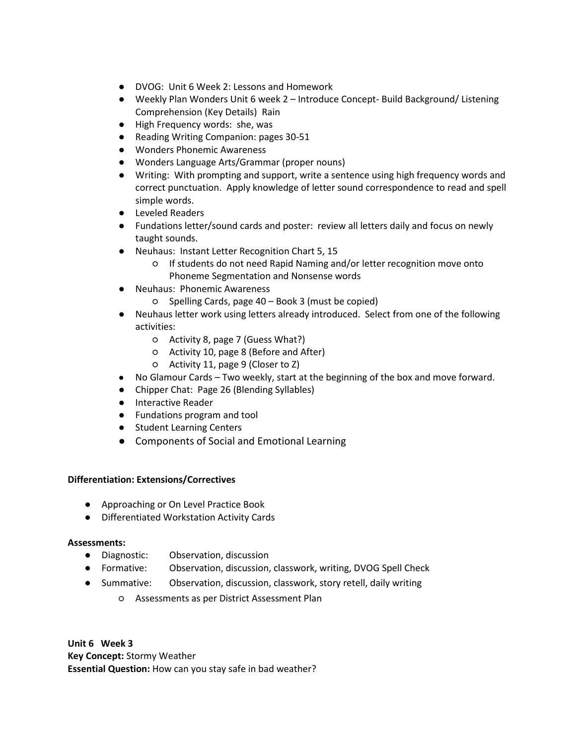- **●** DVOG: Unit 6 Week 2: Lessons and Homework
- **●** Weekly Plan Wonders Unit 6 week 2 Introduce Concept- Build Background/ Listening Comprehension (Key Details) Rain
- **●** High Frequency words: she, was
- **●** Reading Writing Companion: pages 30-51
- **●** Wonders Phonemic Awareness
- **●** Wonders Language Arts/Grammar (proper nouns)
- **●** Writing: With prompting and support, write a sentence using high frequency words and correct punctuation. Apply knowledge of letter sound correspondence to read and spell simple words.
- **●** Leveled Readers
- **●** Fundations letter/sound cards and poster: review all letters daily and focus on newly taught sounds.
- **●** Neuhaus: Instant Letter Recognition Chart 5, 15
	- If students do not need Rapid Naming and/or letter recognition move onto Phoneme Segmentation and Nonsense words
- **●** Neuhaus: Phonemic Awareness
	- Spelling Cards, page 40 Book 3 (must be copied)
- **●** Neuhaus letter work using letters already introduced. Select from one of the following activities:
	- Activity 8, page 7 (Guess What?)
	- Activity 10, page 8 (Before and After)
	- Activity 11, page 9 (Closer to Z)
- **●** No Glamour Cards Two weekly, start at the beginning of the box and move forward.
- **●** Chipper Chat: Page 26 (Blending Syllables)
- **●** Interactive Reader
- **●** Fundations program and tool
- **●** Student Learning Centers
- **●** Components of Social and Emotional Learning

- Approaching or On Level Practice Book
- Differentiated Workstation Activity Cards

## **Assessments:**

- Diagnostic: Observation, discussion
- Formative: Observation, discussion, classwork, writing, DVOG Spell Check
- Summative: Observation, discussion, classwork, story retell, daily writing
	- Assessments as per District Assessment Plan

**Unit 6 Week 3 Key Concept:** Stormy Weather **Essential Question:** How can you stay safe in bad weather?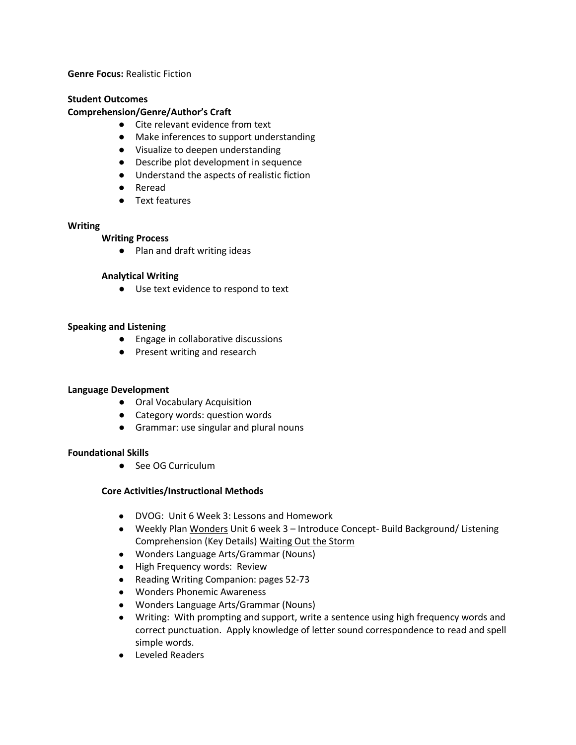**Genre Focus:** Realistic Fiction

#### **Student Outcomes**

#### **Comprehension/Genre/Author's Craft**

- Cite relevant evidence from text
- Make inferences to support understanding
- Visualize to deepen understanding
- Describe plot development in sequence
- Understand the aspects of realistic fiction
- Reread
- Text features

## **Writing**

## **Writing Process**

● Plan and draft writing ideas

## **Analytical Writing**

● Use text evidence to respond to text

## **Speaking and Listening**

- Engage in collaborative discussions
- Present writing and research

## **Language Development**

- Oral Vocabulary Acquisition
- Category words: question words
- Grammar: use singular and plural nouns

## **Foundational Skills**

● See OG Curriculum

- **●** DVOG: Unit 6 Week 3: Lessons and Homework
- **●** Weekly Plan Wonders Unit 6 week 3 Introduce Concept- Build Background/ Listening Comprehension (Key Details) Waiting Out the Storm
- **●** Wonders Language Arts/Grammar (Nouns)
- **●** High Frequency words: Review
- **●** Reading Writing Companion: pages 52-73
- **●** Wonders Phonemic Awareness
- **●** Wonders Language Arts/Grammar (Nouns)
- **●** Writing: With prompting and support, write a sentence using high frequency words and correct punctuation. Apply knowledge of letter sound correspondence to read and spell simple words.
- **●** Leveled Readers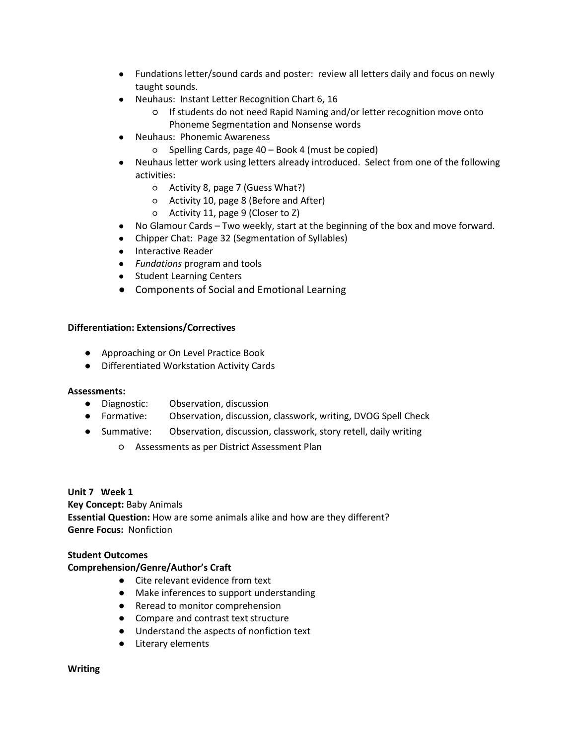- **●** Fundations letter/sound cards and poster: review all letters daily and focus on newly taught sounds.
- **●** Neuhaus: Instant Letter Recognition Chart 6, 16
	- If students do not need Rapid Naming and/or letter recognition move onto Phoneme Segmentation and Nonsense words
- **●** Neuhaus: Phonemic Awareness
	- Spelling Cards, page 40 Book 4 (must be copied)
- **●** Neuhaus letter work using letters already introduced. Select from one of the following activities:
	- Activity 8, page 7 (Guess What?)
	- Activity 10, page 8 (Before and After)
	- Activity 11, page 9 (Closer to Z)
- **●** No Glamour Cards Two weekly, start at the beginning of the box and move forward.
- **●** Chipper Chat: Page 32 (Segmentation of Syllables)
- **●** Interactive Reader
- **●** *Fundations* program and tools
- **●** Student Learning Centers
- **●** Components of Social and Emotional Learning

- Approaching or On Level Practice Book
- Differentiated Workstation Activity Cards

#### **Assessments:**

- Diagnostic: Observation, discussion
- Formative: Observation, discussion, classwork, writing, DVOG Spell Check
- Summative: Observation, discussion, classwork, story retell, daily writing
	- Assessments as per District Assessment Plan

#### **Unit 7 Week 1**

**Key Concept:** Baby Animals **Essential Question:** How are some animals alike and how are they different? **Genre Focus:** Nonfiction

#### **Student Outcomes**

## **Comprehension/Genre/Author's Craft**

- Cite relevant evidence from text
- Make inferences to support understanding
- Reread to monitor comprehension
- Compare and contrast text structure
- Understand the aspects of nonfiction text
- Literary elements

#### **Writing**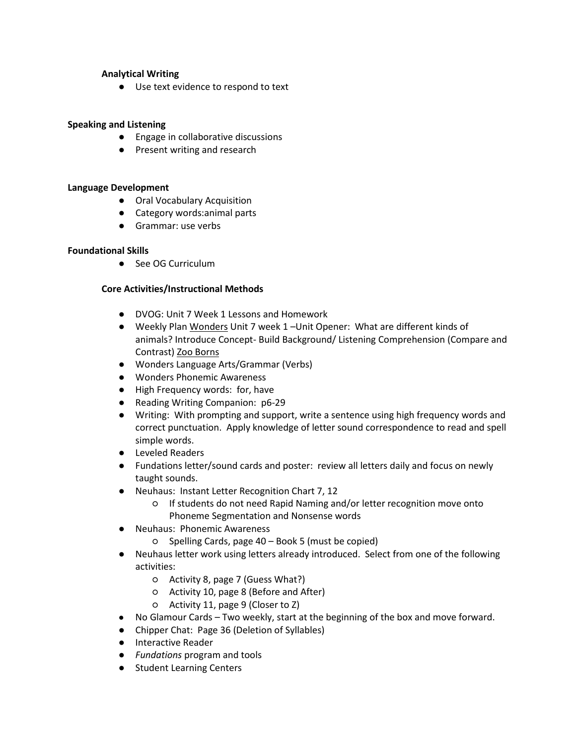## **Analytical Writing**

● Use text evidence to respond to text

## **Speaking and Listening**

- Engage in collaborative discussions
- Present writing and research

## **Language Development**

- Oral Vocabulary Acquisition
- Category words: animal parts
- Grammar: use verbs

## **Foundational Skills**

● See OG Curriculum

- **●** DVOG: Unit 7 Week 1 Lessons and Homework
- **●** Weekly Plan Wonders Unit 7 week 1 –Unit Opener: What are different kinds of animals? Introduce Concept- Build Background/ Listening Comprehension (Compare and Contrast) Zoo Borns
- **●** Wonders Language Arts/Grammar (Verbs)
- **●** Wonders Phonemic Awareness
- **●** High Frequency words: for, have
- **●** Reading Writing Companion: p6-29
- **●** Writing: With prompting and support, write a sentence using high frequency words and correct punctuation. Apply knowledge of letter sound correspondence to read and spell simple words.
- **●** Leveled Readers
- **●** Fundations letter/sound cards and poster: review all letters daily and focus on newly taught sounds.
- **●** Neuhaus: Instant Letter Recognition Chart 7, 12
	- If students do not need Rapid Naming and/or letter recognition move onto Phoneme Segmentation and Nonsense words
- **●** Neuhaus: Phonemic Awareness
	- Spelling Cards, page 40 Book 5 (must be copied)
- **●** Neuhaus letter work using letters already introduced. Select from one of the following activities:
	- Activity 8, page 7 (Guess What?)
	- Activity 10, page 8 (Before and After)
	- Activity 11, page 9 (Closer to Z)
- **●** No Glamour Cards Two weekly, start at the beginning of the box and move forward.
- **●** Chipper Chat: Page 36 (Deletion of Syllables)
- **●** Interactive Reader
- **●** *Fundations* program and tools
- **●** Student Learning Centers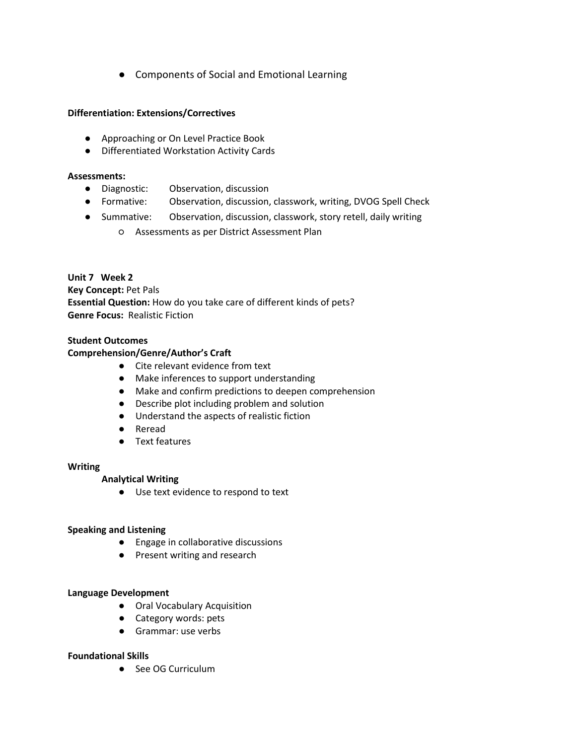**●** Components of Social and Emotional Learning

## **Differentiation: Extensions/Correctives**

- Approaching or On Level Practice Book
- Differentiated Workstation Activity Cards

#### **Assessments:**

- Diagnostic: Observation, discussion
- Formative: Observation, discussion, classwork, writing, DVOG Spell Check
- Summative: Observation, discussion, classwork, story retell, daily writing
	- Assessments as per District Assessment Plan

## **Unit 7 Week 2 Key Concept:** Pet Pals **Essential Question:** How do you take care of different kinds of pets? **Genre Focus:** Realistic Fiction

## **Student Outcomes**

## **Comprehension/Genre/Author's Craft**

- Cite relevant evidence from text
- Make inferences to support understanding
- Make and confirm predictions to deepen comprehension
- Describe plot including problem and solution
- Understand the aspects of realistic fiction
- Reread
- Text features

## **Writing**

## **Analytical Writing**

● Use text evidence to respond to text

## **Speaking and Listening**

- Engage in collaborative discussions
- Present writing and research

## **Language Development**

- Oral Vocabulary Acquisition
- Category words: pets
- Grammar: use verbs

## **Foundational Skills**

● See OG Curriculum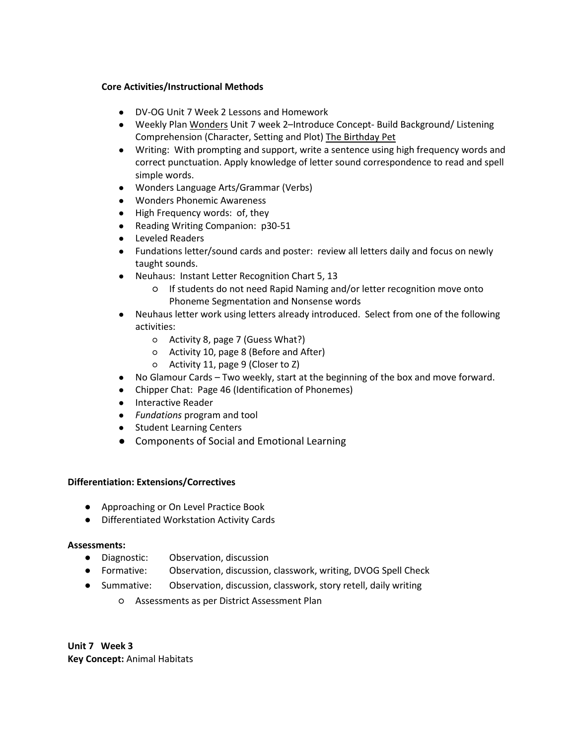## **Core Activities/Instructional Methods**

- **●** DV-OG Unit 7 Week 2 Lessons and Homework
- **●** Weekly Plan Wonders Unit 7 week 2–Introduce Concept- Build Background/ Listening Comprehension (Character, Setting and Plot) The Birthday Pet
- **●** Writing: With prompting and support, write a sentence using high frequency words and correct punctuation. Apply knowledge of letter sound correspondence to read and spell simple words.
- **●** Wonders Language Arts/Grammar (Verbs)
- **●** Wonders Phonemic Awareness
- **●** High Frequency words: of, they
- **●** Reading Writing Companion: p30-51
- **●** Leveled Readers
- **●** Fundations letter/sound cards and poster: review all letters daily and focus on newly taught sounds.
- **●** Neuhaus: Instant Letter Recognition Chart 5, 13
	- If students do not need Rapid Naming and/or letter recognition move onto Phoneme Segmentation and Nonsense words
- **●** Neuhaus letter work using letters already introduced. Select from one of the following activities:
	- Activity 8, page 7 (Guess What?)
	- Activity 10, page 8 (Before and After)
	- Activity 11, page 9 (Closer to Z)
- **●** No Glamour Cards Two weekly, start at the beginning of the box and move forward.
- **●** Chipper Chat: Page 46 (Identification of Phonemes)
- **●** Interactive Reader
- **●** *Fundations* program and tool
- **●** Student Learning Centers
- **●** Components of Social and Emotional Learning

## **Differentiation: Extensions/Correctives**

- Approaching or On Level Practice Book
- Differentiated Workstation Activity Cards

## **Assessments:**

- Diagnostic: Observation, discussion
- Formative: Observation, discussion, classwork, writing, DVOG Spell Check
- Summative: Observation, discussion, classwork, story retell, daily writing
	- Assessments as per District Assessment Plan

**Unit 7 Week 3 Key Concept:** Animal Habitats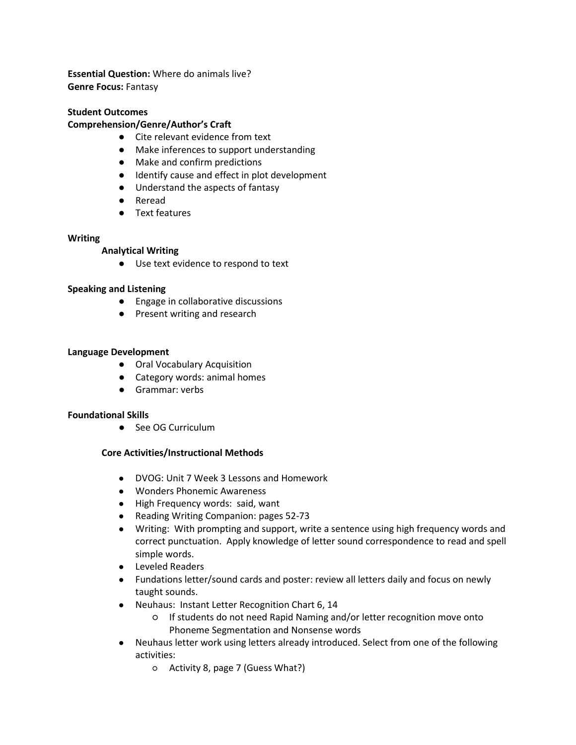**Essential Question:** Where do animals live? **Genre Focus:** Fantasy

#### **Student Outcomes**

#### **Comprehension/Genre/Author's Craft**

- Cite relevant evidence from text
- Make inferences to support understanding
- Make and confirm predictions
- Identify cause and effect in plot development
- Understand the aspects of fantasy
- Reread
- Text features

#### **Writing**

#### **Analytical Writing**

● Use text evidence to respond to text

#### **Speaking and Listening**

- Engage in collaborative discussions
- Present writing and research

#### **Language Development**

- Oral Vocabulary Acquisition
- Category words: animal homes
- Grammar: verbs

#### **Foundational Skills**

● See OG Curriculum

- **●** DVOG: Unit 7 Week 3 Lessons and Homework
- **●** Wonders Phonemic Awareness
- **●** High Frequency words: said, want
- **●** Reading Writing Companion: pages 52-73
- **●** Writing: With prompting and support, write a sentence using high frequency words and correct punctuation. Apply knowledge of letter sound correspondence to read and spell simple words.
- **●** Leveled Readers
- **●** Fundations letter/sound cards and poster: review all letters daily and focus on newly taught sounds.
- **●** Neuhaus: Instant Letter Recognition Chart 6, 14
	- If students do not need Rapid Naming and/or letter recognition move onto Phoneme Segmentation and Nonsense words
- **●** Neuhaus letter work using letters already introduced. Select from one of the following activities:
	- Activity 8, page 7 (Guess What?)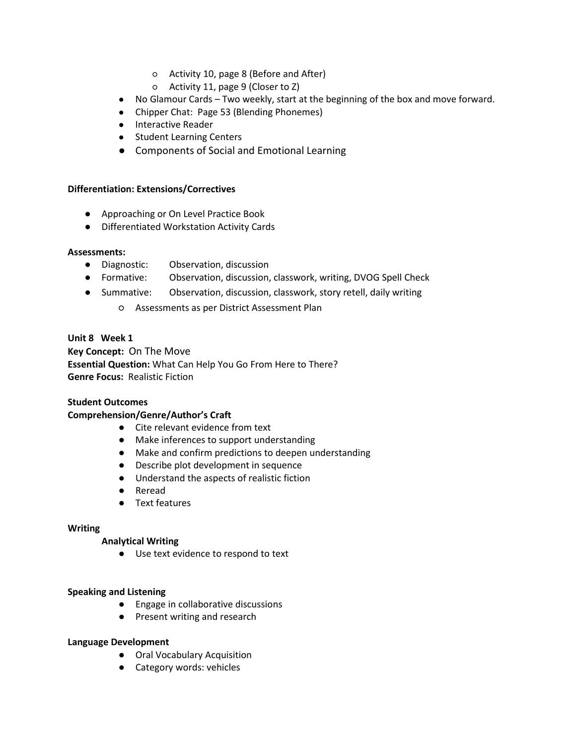- Activity 10, page 8 (Before and After)
- Activity 11, page 9 (Closer to Z)
- **●** No Glamour Cards Two weekly, start at the beginning of the box and move forward.
- **●** Chipper Chat: Page 53 (Blending Phonemes)
- **●** Interactive Reader
- **●** Student Learning Centers
- **●** Components of Social and Emotional Learning

- Approaching or On Level Practice Book
- Differentiated Workstation Activity Cards

#### **Assessments:**

- Diagnostic: Observation, discussion
- Formative: Observation, discussion, classwork, writing, DVOG Spell Check
- Summative: Observation, discussion, classwork, story retell, daily writing
	- Assessments as per District Assessment Plan

## **Unit 8 Week 1**

**Key Concept:** On The Move **Essential Question:** What Can Help You Go From Here to There? **Genre Focus:** Realistic Fiction

## **Student Outcomes**

## **Comprehension/Genre/Author's Craft**

- Cite relevant evidence from text
- Make inferences to support understanding
- Make and confirm predictions to deepen understanding
- Describe plot development in sequence
- Understand the aspects of realistic fiction
- Reread
- Text features

#### **Writing**

#### **Analytical Writing**

● Use text evidence to respond to text

#### **Speaking and Listening**

- Engage in collaborative discussions
- Present writing and research

#### **Language Development**

- Oral Vocabulary Acquisition
- Category words: vehicles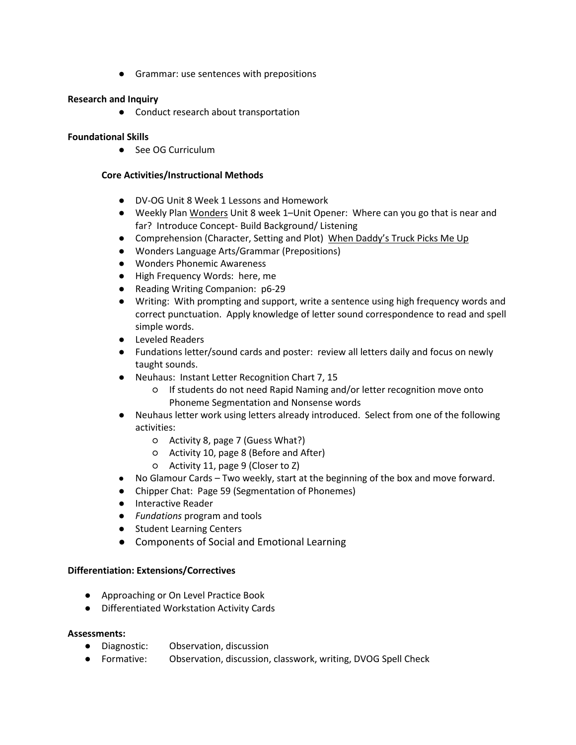● Grammar: use sentences with prepositions

## **Research and Inquiry**

● Conduct research about transportation

## **Foundational Skills**

● See OG Curriculum

## **Core Activities/Instructional Methods**

- **●** DV-OG Unit 8 Week 1 Lessons and Homework
- **●** Weekly Plan Wonders Unit 8 week 1–Unit Opener: Where can you go that is near and far? Introduce Concept- Build Background/ Listening
- **●** Comprehension (Character, Setting and Plot) When Daddy's Truck Picks Me Up
- **●** Wonders Language Arts/Grammar (Prepositions)
- **●** Wonders Phonemic Awareness
- **●** High Frequency Words: here, me
- **●** Reading Writing Companion: p6-29
- **●** Writing: With prompting and support, write a sentence using high frequency words and correct punctuation. Apply knowledge of letter sound correspondence to read and spell simple words.
- **●** Leveled Readers
- **●** Fundations letter/sound cards and poster: review all letters daily and focus on newly taught sounds.
- **●** Neuhaus: Instant Letter Recognition Chart 7, 15
	- If students do not need Rapid Naming and/or letter recognition move onto Phoneme Segmentation and Nonsense words
- **●** Neuhaus letter work using letters already introduced. Select from one of the following activities:
	- Activity 8, page 7 (Guess What?)
	- Activity 10, page 8 (Before and After)
	- Activity 11, page 9 (Closer to Z)
- **●** No Glamour Cards Two weekly, start at the beginning of the box and move forward.
- **●** Chipper Chat: Page 59 (Segmentation of Phonemes)
- **●** Interactive Reader
- **●** *Fundations* program and tools
- **●** Student Learning Centers
- **●** Components of Social and Emotional Learning

## **Differentiation: Extensions/Correctives**

- Approaching or On Level Practice Book
- Differentiated Workstation Activity Cards

## **Assessments:**

- Diagnostic: Observation, discussion
- Formative: Observation, discussion, classwork, writing, DVOG Spell Check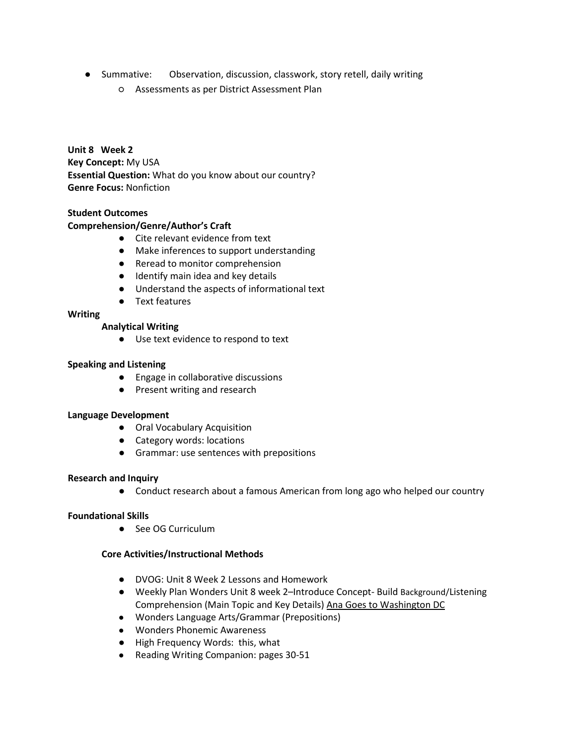- Summative: Observation, discussion, classwork, story retell, daily writing
	- Assessments as per District Assessment Plan

**Unit 8 Week 2 Key Concept:** My USA **Essential Question:** What do you know about our country? **Genre Focus:** Nonfiction

## **Student Outcomes**

#### **Comprehension/Genre/Author's Craft**

- Cite relevant evidence from text
- Make inferences to support understanding
- Reread to monitor comprehension
- Identify main idea and key details
- Understand the aspects of informational text
- Text features

#### **Writing**

#### **Analytical Writing**

● Use text evidence to respond to text

#### **Speaking and Listening**

- Engage in collaborative discussions
- Present writing and research

#### **Language Development**

- Oral Vocabulary Acquisition
- Category words: locations
- Grammar: use sentences with prepositions

#### **Research and Inquiry**

● Conduct research about a famous American from long ago who helped our country

#### **Foundational Skills**

● See OG Curriculum

- **●** DVOG: Unit 8 Week 2 Lessons and Homework
- **●** Weekly Plan Wonders Unit 8 week 2–Introduce Concept- Build Background/Listening Comprehension (Main Topic and Key Details) Ana Goes to Washington DC
- **●** Wonders Language Arts/Grammar (Prepositions)
- **●** Wonders Phonemic Awareness
- **●** High Frequency Words: this, what
- **●** Reading Writing Companion: pages 30-51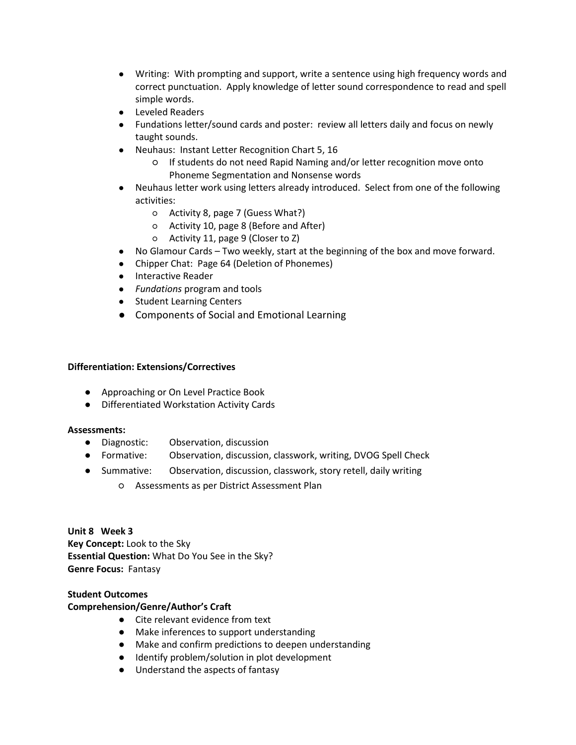- **●** Writing: With prompting and support, write a sentence using high frequency words and correct punctuation. Apply knowledge of letter sound correspondence to read and spell simple words.
- **●** Leveled Readers
- **●** Fundations letter/sound cards and poster: review all letters daily and focus on newly taught sounds.
- **●** Neuhaus: Instant Letter Recognition Chart 5, 16
	- If students do not need Rapid Naming and/or letter recognition move onto Phoneme Segmentation and Nonsense words
- **●** Neuhaus letter work using letters already introduced. Select from one of the following activities:
	- Activity 8, page 7 (Guess What?)
	- Activity 10, page 8 (Before and After)
	- Activity 11, page 9 (Closer to Z)
- **●** No Glamour Cards Two weekly, start at the beginning of the box and move forward.
- **●** Chipper Chat: Page 64 (Deletion of Phonemes)
- **●** Interactive Reader
- **●** *Fundations* program and tools
- **●** Student Learning Centers
- **●** Components of Social and Emotional Learning

- Approaching or On Level Practice Book
- Differentiated Workstation Activity Cards

## **Assessments:**

- Diagnostic: Observation, discussion
- Formative: Observation, discussion, classwork, writing, DVOG Spell Check
- Summative: Observation, discussion, classwork, story retell, daily writing
	- Assessments as per District Assessment Plan

**Unit 8 Week 3 Key Concept:** Look to the Sky **Essential Question:** What Do You See in the Sky? **Genre Focus:** Fantasy

## **Student Outcomes**

## **Comprehension/Genre/Author's Craft**

- Cite relevant evidence from text
- Make inferences to support understanding
- Make and confirm predictions to deepen understanding
- Identify problem/solution in plot development
- Understand the aspects of fantasy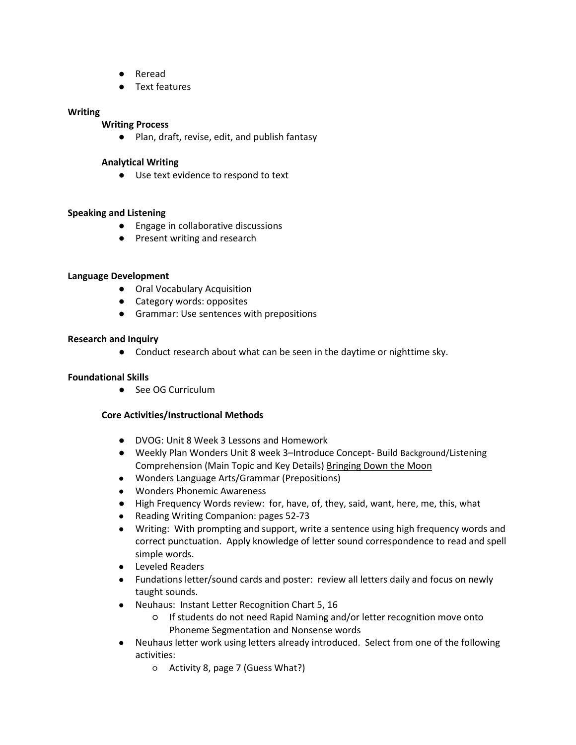- Reread
- Text features

#### **Writing**

#### **Writing Process**

● Plan, draft, revise, edit, and publish fantasy

## **Analytical Writing**

● Use text evidence to respond to text

## **Speaking and Listening**

- Engage in collaborative discussions
- Present writing and research

#### **Language Development**

- Oral Vocabulary Acquisition
- Category words: opposites
- Grammar: Use sentences with prepositions

#### **Research and Inquiry**

● Conduct research about what can be seen in the daytime or nighttime sky.

#### **Foundational Skills**

● See OG Curriculum

- **●** DVOG: Unit 8 Week 3 Lessons and Homework
- **●** Weekly Plan Wonders Unit 8 week 3–Introduce Concept- Build Background/Listening Comprehension (Main Topic and Key Details) Bringing Down the Moon
- **●** Wonders Language Arts/Grammar (Prepositions)
- **●** Wonders Phonemic Awareness
- **●** High Frequency Words review: for, have, of, they, said, want, here, me, this, what
- **●** Reading Writing Companion: pages 52-73
- **●** Writing: With prompting and support, write a sentence using high frequency words and correct punctuation. Apply knowledge of letter sound correspondence to read and spell simple words.
- **●** Leveled Readers
- **●** Fundations letter/sound cards and poster: review all letters daily and focus on newly taught sounds.
- **●** Neuhaus: Instant Letter Recognition Chart 5, 16
	- If students do not need Rapid Naming and/or letter recognition move onto Phoneme Segmentation and Nonsense words
- **●** Neuhaus letter work using letters already introduced. Select from one of the following activities:
	- Activity 8, page 7 (Guess What?)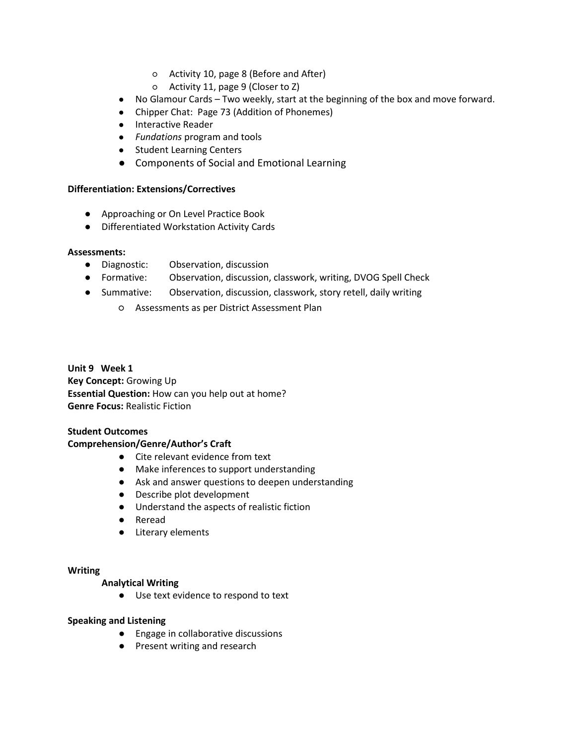- Activity 10, page 8 (Before and After)
- Activity 11, page 9 (Closer to Z)
- **●** No Glamour Cards Two weekly, start at the beginning of the box and move forward.
- **●** Chipper Chat: Page 73 (Addition of Phonemes)
- **●** Interactive Reader
- **●** *Fundations* program and tools
- **●** Student Learning Centers
- **●** Components of Social and Emotional Learning

- Approaching or On Level Practice Book
- Differentiated Workstation Activity Cards

#### **Assessments:**

- Diagnostic: Observation, discussion
- Formative: Observation, discussion, classwork, writing, DVOG Spell Check
- Summative: Observation, discussion, classwork, story retell, daily writing
	- Assessments as per District Assessment Plan

**Unit 9 Week 1 Key Concept:** Growing Up **Essential Question:** How can you help out at home? **Genre Focus:** Realistic Fiction

#### **Student Outcomes**

## **Comprehension/Genre/Author's Craft**

- Cite relevant evidence from text
- Make inferences to support understanding
- Ask and answer questions to deepen understanding
- Describe plot development
- Understand the aspects of realistic fiction
- Reread
- Literary elements

#### **Writing**

## **Analytical Writing**

● Use text evidence to respond to text

## **Speaking and Listening**

- Engage in collaborative discussions
- Present writing and research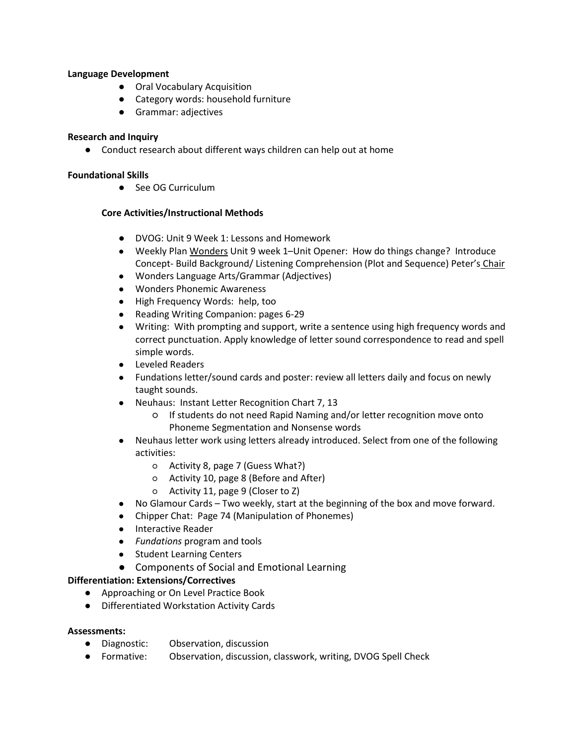## **Language Development**

- Oral Vocabulary Acquisition
- Category words: household furniture
- Grammar: adjectives

## **Research and Inquiry**

● Conduct research about different ways children can help out at home

## **Foundational Skills**

● See OG Curriculum

## **Core Activities/Instructional Methods**

- **●** DVOG: Unit 9 Week 1: Lessons and Homework
- **●** Weekly Plan Wonders Unit 9 week 1–Unit Opener: How do things change? Introduce Concept- Build Background/ Listening Comprehension (Plot and Sequence) Peter's Chair
- **●** Wonders Language Arts/Grammar (Adjectives)
- **●** Wonders Phonemic Awareness
- **●** High Frequency Words: help, too
- **●** Reading Writing Companion: pages 6-29
- **●** Writing: With prompting and support, write a sentence using high frequency words and correct punctuation. Apply knowledge of letter sound correspondence to read and spell simple words.
- **●** Leveled Readers
- **●** Fundations letter/sound cards and poster: review all letters daily and focus on newly taught sounds.
- **●** Neuhaus: Instant Letter Recognition Chart 7, 13
	- If students do not need Rapid Naming and/or letter recognition move onto Phoneme Segmentation and Nonsense words
- **●** Neuhaus letter work using letters already introduced. Select from one of the following activities:
	- Activity 8, page 7 (Guess What?)
	- Activity 10, page 8 (Before and After)
	- Activity 11, page 9 (Closer to Z)
- **●** No Glamour Cards Two weekly, start at the beginning of the box and move forward.
- **●** Chipper Chat: Page 74 (Manipulation of Phonemes)
- **●** Interactive Reader
- **●** *Fundations* program and tools
- **●** Student Learning Centers
- **●** Components of Social and Emotional Learning

## **Differentiation: Extensions/Correctives**

- Approaching or On Level Practice Book
- Differentiated Workstation Activity Cards

## **Assessments:**

- Diagnostic: Observation, discussion
- Formative: Observation, discussion, classwork, writing, DVOG Spell Check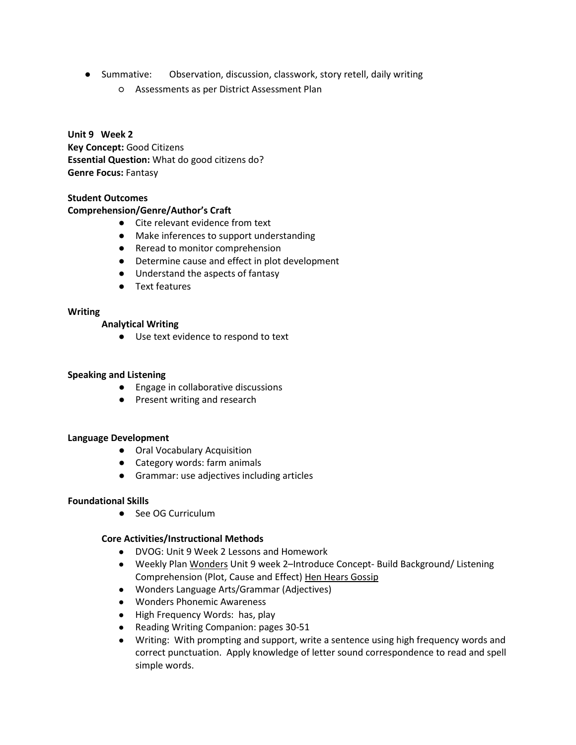- Summative: Observation, discussion, classwork, story retell, daily writing
	- Assessments as per District Assessment Plan

**Unit 9 Week 2 Key Concept:** Good Citizens **Essential Question:** What do good citizens do? **Genre Focus:** Fantasy

## **Student Outcomes**

## **Comprehension/Genre/Author's Craft**

- Cite relevant evidence from text
- Make inferences to support understanding
- Reread to monitor comprehension
- Determine cause and effect in plot development
- Understand the aspects of fantasy
- Text features

#### **Writing**

#### **Analytical Writing**

● Use text evidence to respond to text

## **Speaking and Listening**

- Engage in collaborative discussions
- Present writing and research

## **Language Development**

- Oral Vocabulary Acquisition
- Category words: farm animals
- Grammar: use adjectives including articles

## **Foundational Skills**

● See OG Curriculum

- **●** DVOG: Unit 9 Week 2 Lessons and Homework
- **●** Weekly Plan Wonders Unit 9 week 2–Introduce Concept- Build Background/ Listening Comprehension (Plot, Cause and Effect) Hen Hears Gossip
- **●** Wonders Language Arts/Grammar (Adjectives)
- **●** Wonders Phonemic Awareness
- **●** High Frequency Words: has, play
- **●** Reading Writing Companion: pages 30-51
- **●** Writing: With prompting and support, write a sentence using high frequency words and correct punctuation. Apply knowledge of letter sound correspondence to read and spell simple words.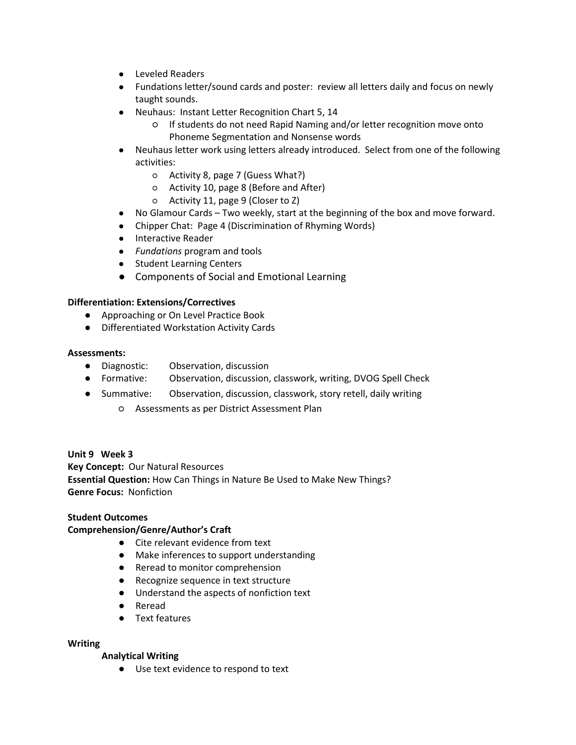- **●** Leveled Readers
- **●** Fundations letter/sound cards and poster: review all letters daily and focus on newly taught sounds.
- **●** Neuhaus: Instant Letter Recognition Chart 5, 14
	- If students do not need Rapid Naming and/or letter recognition move onto Phoneme Segmentation and Nonsense words
- **●** Neuhaus letter work using letters already introduced. Select from one of the following activities:
	- Activity 8, page 7 (Guess What?)
	- Activity 10, page 8 (Before and After)
	- Activity 11, page 9 (Closer to Z)
- **●** No Glamour Cards Two weekly, start at the beginning of the box and move forward.
- **●** Chipper Chat: Page 4 (Discrimination of Rhyming Words)
- **●** Interactive Reader
- **●** *Fundations* program and tools
- **●** Student Learning Centers
- **●** Components of Social and Emotional Learning

- Approaching or On Level Practice Book
- Differentiated Workstation Activity Cards

#### **Assessments:**

- Diagnostic: Observation, discussion
- Formative: Observation, discussion, classwork, writing, DVOG Spell Check
- Summative: Observation, discussion, classwork, story retell, daily writing
	- Assessments as per District Assessment Plan

## **Unit 9 Week 3**

**Key Concept:** Our Natural Resources

**Essential Question:** How Can Things in Nature Be Used to Make New Things? **Genre Focus:** Nonfiction

## **Student Outcomes**

## **Comprehension/Genre/Author's Craft**

- Cite relevant evidence from text
- Make inferences to support understanding
- Reread to monitor comprehension
- Recognize sequence in text structure
- Understand the aspects of nonfiction text
- Reread
- Text features

#### **Writing**

## **Analytical Writing**

● Use text evidence to respond to text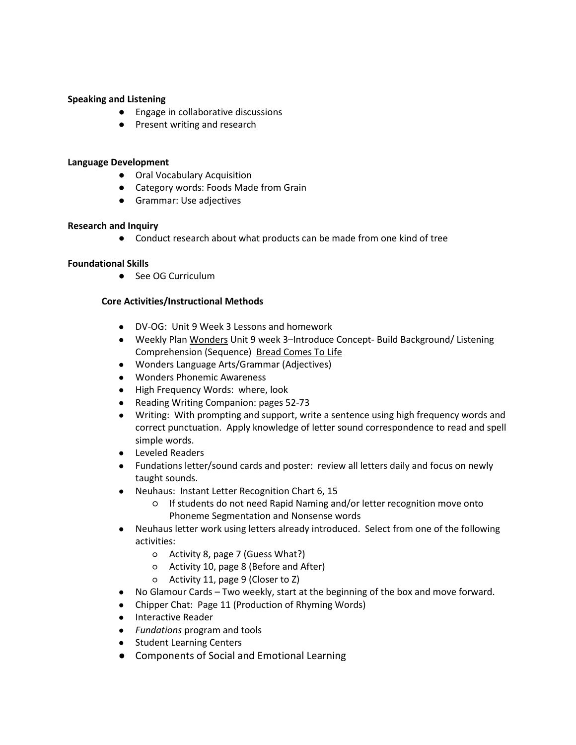#### **Speaking and Listening**

- Engage in collaborative discussions
- Present writing and research

#### **Language Development**

- Oral Vocabulary Acquisition
- Category words: Foods Made from Grain
- Grammar: Use adjectives

#### **Research and Inquiry**

● Conduct research about what products can be made from one kind of tree

## **Foundational Skills**

● See OG Curriculum

- **●** DV-OG: Unit 9 Week 3 Lessons and homework
- **●** Weekly Plan Wonders Unit 9 week 3–Introduce Concept- Build Background/ Listening Comprehension (Sequence) Bread Comes To Life
- **●** Wonders Language Arts/Grammar (Adjectives)
- **●** Wonders Phonemic Awareness
- **●** High Frequency Words: where, look
- **●** Reading Writing Companion: pages 52-73
- **●** Writing: With prompting and support, write a sentence using high frequency words and correct punctuation. Apply knowledge of letter sound correspondence to read and spell simple words.
- **●** Leveled Readers
- **●** Fundations letter/sound cards and poster: review all letters daily and focus on newly taught sounds.
- **●** Neuhaus: Instant Letter Recognition Chart 6, 15
	- If students do not need Rapid Naming and/or letter recognition move onto Phoneme Segmentation and Nonsense words
- **●** Neuhaus letter work using letters already introduced. Select from one of the following activities:
	- Activity 8, page 7 (Guess What?)
	- Activity 10, page 8 (Before and After)
	- Activity 11, page 9 (Closer to Z)
- **●** No Glamour Cards Two weekly, start at the beginning of the box and move forward.
- **●** Chipper Chat: Page 11 (Production of Rhyming Words)
- **●** Interactive Reader
- **●** *Fundations* program and tools
- **●** Student Learning Centers
- **●** Components of Social and Emotional Learning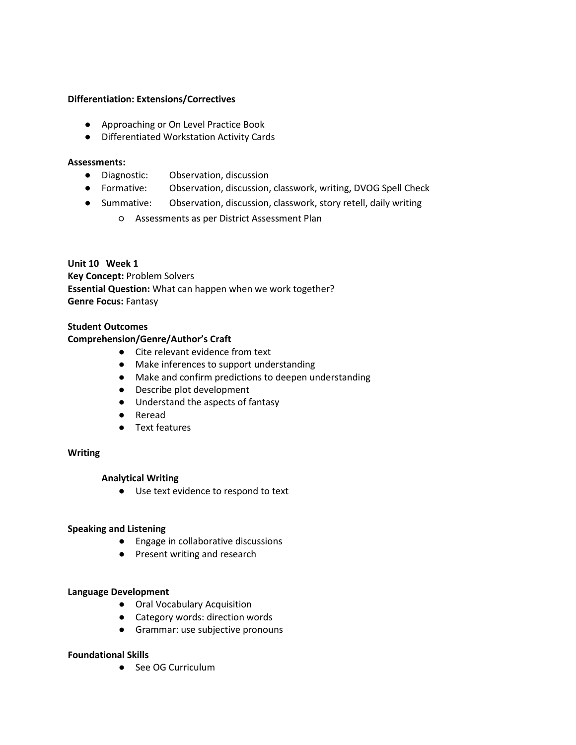- Approaching or On Level Practice Book
- Differentiated Workstation Activity Cards

#### **Assessments:**

- Diagnostic: Observation, discussion
- Formative: Observation, discussion, classwork, writing, DVOG Spell Check
- Summative: Observation, discussion, classwork, story retell, daily writing
	- Assessments as per District Assessment Plan

**Unit 10 Week 1 Key Concept:** Problem Solvers **Essential Question:** What can happen when we work together? **Genre Focus:** Fantasy

## **Student Outcomes**

#### **Comprehension/Genre/Author's Craft**

- Cite relevant evidence from text
- Make inferences to support understanding
- Make and confirm predictions to deepen understanding
- Describe plot development
- Understand the aspects of fantasy
- Reread
- Text features

#### **Writing**

## **Analytical Writing**

● Use text evidence to respond to text

#### **Speaking and Listening**

- Engage in collaborative discussions
- Present writing and research

#### **Language Development**

- Oral Vocabulary Acquisition
- Category words: direction words
- Grammar: use subjective pronouns

#### **Foundational Skills**

● See OG Curriculum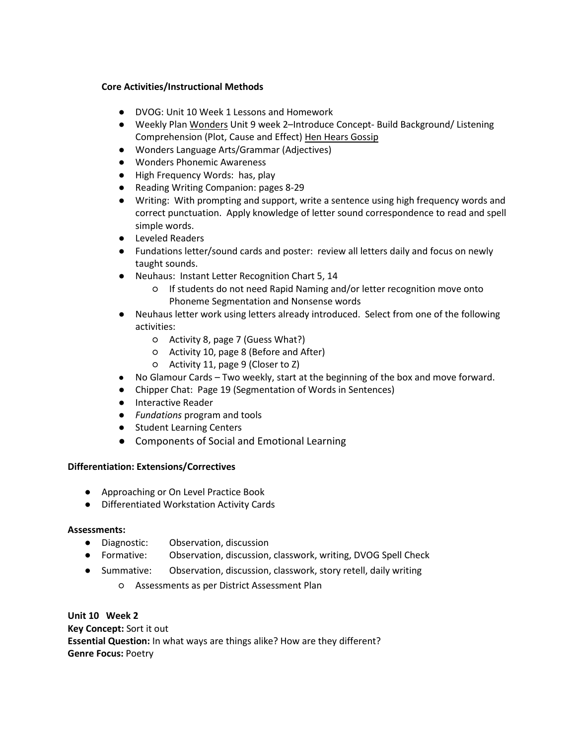## **Core Activities/Instructional Methods**

- **●** DVOG: Unit 10 Week 1 Lessons and Homework
- **●** Weekly Plan Wonders Unit 9 week 2–Introduce Concept- Build Background/ Listening Comprehension (Plot, Cause and Effect) Hen Hears Gossip
- **●** Wonders Language Arts/Grammar (Adjectives)
- **●** Wonders Phonemic Awareness
- **●** High Frequency Words: has, play
- **●** Reading Writing Companion: pages 8-29
- **●** Writing: With prompting and support, write a sentence using high frequency words and correct punctuation. Apply knowledge of letter sound correspondence to read and spell simple words.
- **●** Leveled Readers
- **●** Fundations letter/sound cards and poster: review all letters daily and focus on newly taught sounds.
- **●** Neuhaus: Instant Letter Recognition Chart 5, 14
	- If students do not need Rapid Naming and/or letter recognition move onto Phoneme Segmentation and Nonsense words
- **●** Neuhaus letter work using letters already introduced. Select from one of the following activities:
	- Activity 8, page 7 (Guess What?)
	- Activity 10, page 8 (Before and After)
	- Activity 11, page 9 (Closer to Z)
- **●** No Glamour Cards Two weekly, start at the beginning of the box and move forward.
- **●** Chipper Chat: Page 19 (Segmentation of Words in Sentences)
- **●** Interactive Reader
- **●** *Fundations* program and tools
- **●** Student Learning Centers
- **●** Components of Social and Emotional Learning

## **Differentiation: Extensions/Correctives**

- Approaching or On Level Practice Book
- Differentiated Workstation Activity Cards

## **Assessments:**

- Diagnostic: Observation, discussion
- Formative: Observation, discussion, classwork, writing, DVOG Spell Check
- Summative: Observation, discussion, classwork, story retell, daily writing
	- Assessments as per District Assessment Plan

**Unit 10 Week 2 Key Concept:** Sort it out **Essential Question:** In what ways are things alike? How are they different? **Genre Focus:** Poetry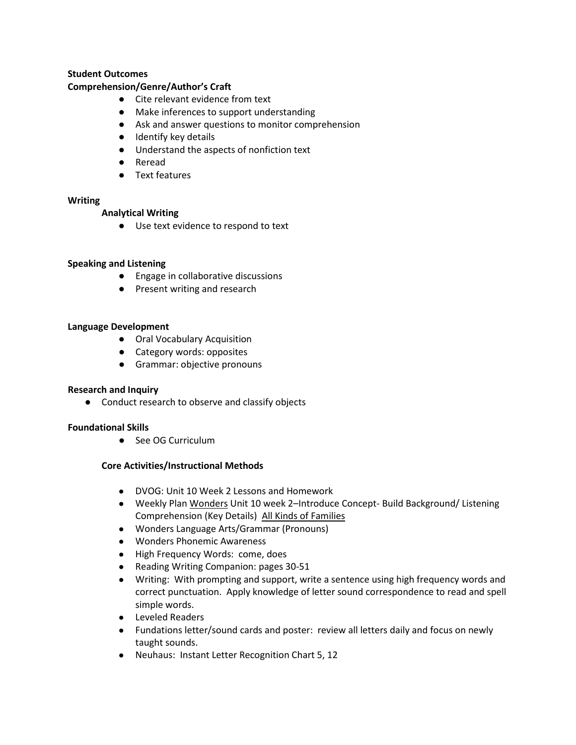## **Student Outcomes**

## **Comprehension/Genre/Author's Craft**

- Cite relevant evidence from text
- Make inferences to support understanding
- Ask and answer questions to monitor comprehension
- Identify key details
- Understand the aspects of nonfiction text
- Reread
- Text features

## **Writing**

## **Analytical Writing**

● Use text evidence to respond to text

## **Speaking and Listening**

- Engage in collaborative discussions
- Present writing and research

#### **Language Development**

- Oral Vocabulary Acquisition
- Category words: opposites
- Grammar: objective pronouns

## **Research and Inquiry**

● Conduct research to observe and classify objects

## **Foundational Skills**

● See OG Curriculum

- **●** DVOG: Unit 10 Week 2 Lessons and Homework
- **●** Weekly Plan Wonders Unit 10 week 2–Introduce Concept- Build Background/ Listening Comprehension (Key Details) All Kinds of Families
- **●** Wonders Language Arts/Grammar (Pronouns)
- **●** Wonders Phonemic Awareness
- **●** High Frequency Words: come, does
- **●** Reading Writing Companion: pages 30-51
- **●** Writing: With prompting and support, write a sentence using high frequency words and correct punctuation. Apply knowledge of letter sound correspondence to read and spell simple words.
- **●** Leveled Readers
- **●** Fundations letter/sound cards and poster: review all letters daily and focus on newly taught sounds.
- **●** Neuhaus: Instant Letter Recognition Chart 5, 12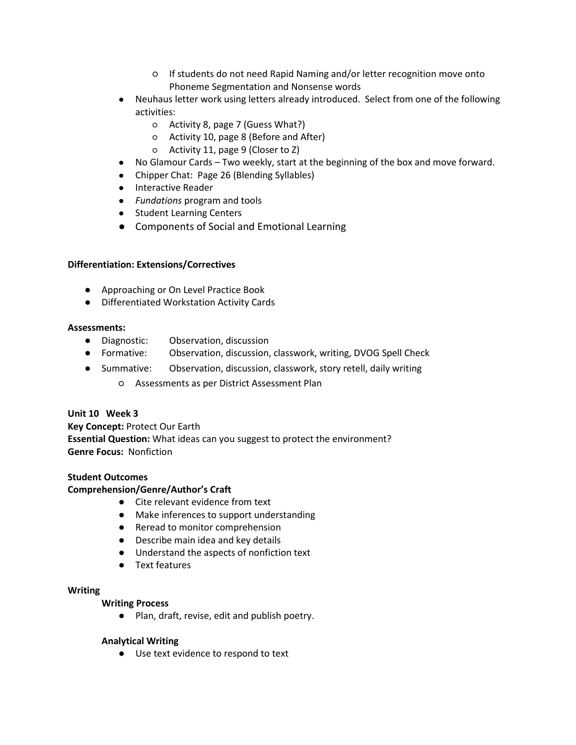- If students do not need Rapid Naming and/or letter recognition move onto Phoneme Segmentation and Nonsense words
- **●** Neuhaus letter work using letters already introduced. Select from one of the following activities:
	- Activity 8, page 7 (Guess What?)
	- Activity 10, page 8 (Before and After)
	- Activity 11, page 9 (Closer to Z)
- **●** No Glamour Cards Two weekly, start at the beginning of the box and move forward.
- **●** Chipper Chat: Page 26 (Blending Syllables)
- **●** Interactive Reader
- **●** *Fundations* program and tools
- **●** Student Learning Centers
- **●** Components of Social and Emotional Learning

- Approaching or On Level Practice Book
- Differentiated Workstation Activity Cards

## **Assessments:**

- Diagnostic: Observation, discussion
- Formative: Observation, discussion, classwork, writing, DVOG Spell Check
- Summative: Observation, discussion, classwork, story retell, daily writing
	- Assessments as per District Assessment Plan

## **Unit 10 Week 3**

## **Key Concept:** Protect Our Earth

**Essential Question:** What ideas can you suggest to protect the environment? **Genre Focus:** Nonfiction

## **Student Outcomes**

## **Comprehension/Genre/Author's Craft**

- Cite relevant evidence from text
- Make inferences to support understanding
- Reread to monitor comprehension
- Describe main idea and key details
- Understand the aspects of nonfiction text
- Text features

## **Writing**

## **Writing Process**

● Plan, draft, revise, edit and publish poetry.

## **Analytical Writing**

● Use text evidence to respond to text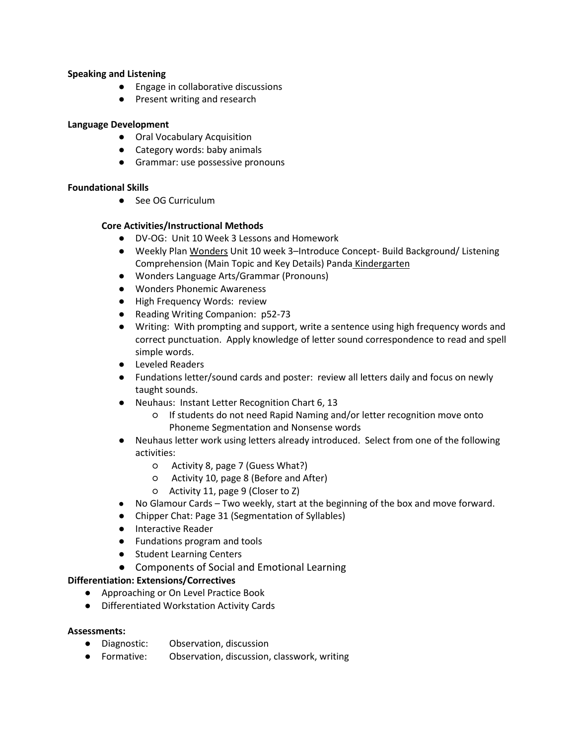## **Speaking and Listening**

- Engage in collaborative discussions
- Present writing and research

## **Language Development**

- Oral Vocabulary Acquisition
- Category words: baby animals
- Grammar: use possessive pronouns

## **Foundational Skills**

● See OG Curriculum

## **Core Activities/Instructional Methods**

- **●** DV-OG: Unit 10 Week 3 Lessons and Homework
- **●** Weekly Plan Wonders Unit 10 week 3–Introduce Concept- Build Background/ Listening Comprehension (Main Topic and Key Details) Panda Kindergarten
- **●** Wonders Language Arts/Grammar (Pronouns)
- **●** Wonders Phonemic Awareness
- **●** High Frequency Words: review
- **●** Reading Writing Companion: p52-73
- **●** Writing: With prompting and support, write a sentence using high frequency words and correct punctuation. Apply knowledge of letter sound correspondence to read and spell simple words.
- **●** Leveled Readers
- **●** Fundations letter/sound cards and poster: review all letters daily and focus on newly taught sounds.
- **●** Neuhaus: Instant Letter Recognition Chart 6, 13
	- If students do not need Rapid Naming and/or letter recognition move onto Phoneme Segmentation and Nonsense words
- **●** Neuhaus letter work using letters already introduced. Select from one of the following activities:
	- Activity 8, page 7 (Guess What?)
	- Activity 10, page 8 (Before and After)
	- Activity 11, page 9 (Closer to Z)
- **●** No Glamour Cards Two weekly, start at the beginning of the box and move forward.
- **●** Chipper Chat: Page 31 (Segmentation of Syllables)
- **●** Interactive Reader
- **●** Fundations program and tools
- **●** Student Learning Centers
- **●** Components of Social and Emotional Learning

## **Differentiation: Extensions/Correctives**

- Approaching or On Level Practice Book
- Differentiated Workstation Activity Cards

## **Assessments:**

- Diagnostic: Observation, discussion
- Formative: Observation, discussion, classwork, writing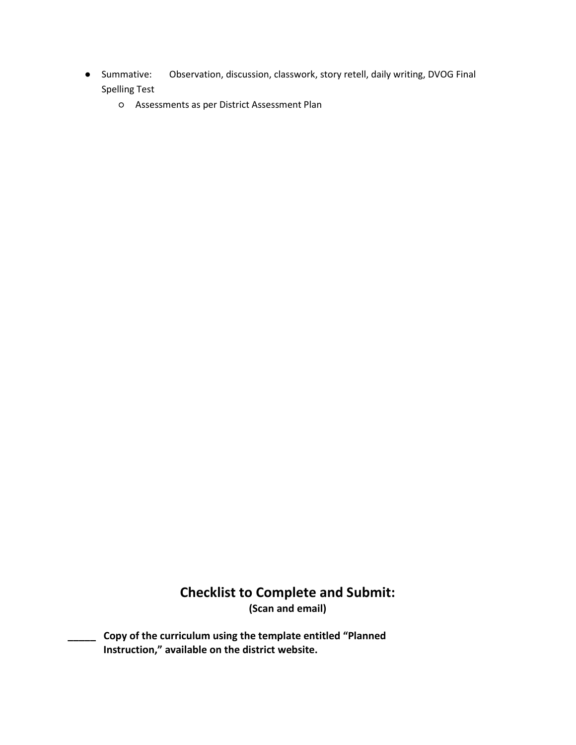- Summative: Observation, discussion, classwork, story retell, daily writing, DVOG Final Spelling Test
	- Assessments as per District Assessment Plan

## **Checklist to Complete and Submit: (Scan and email)**

**\_\_\_\_\_ Copy of the curriculum using the template entitled "Planned Instruction," available on the district website.**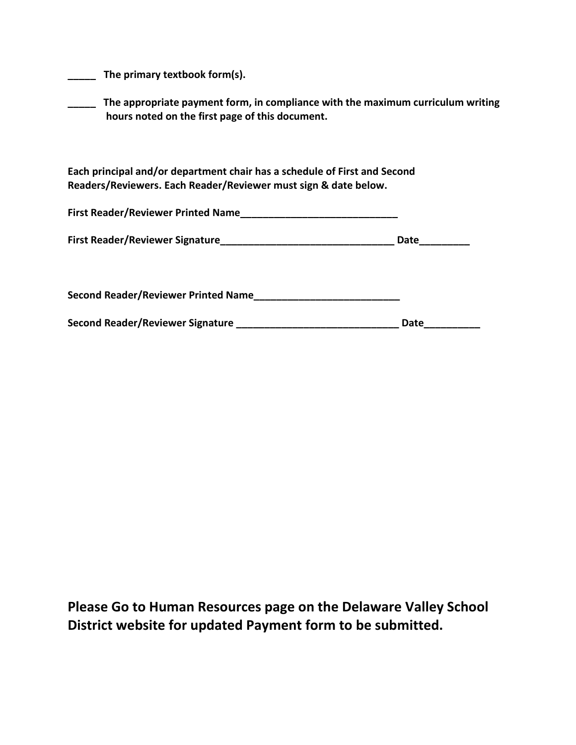**\_\_\_\_\_ The primary textbook form(s).** 

**\_\_\_\_\_ The appropriate payment form, in compliance with the maximum curriculum writing hours noted on the first page of this document.**

**Each principal and/or department chair has a schedule of First and Second Readers/Reviewers. Each Reader/Reviewer must sign & date below.**

| <b>First Reader/Reviewer Printed Name</b>  |      |
|--------------------------------------------|------|
| <b>First Reader/Reviewer Signature</b>     | Date |
| <b>Second Reader/Reviewer Printed Name</b> |      |

| Second Reader/Reviewer Signature | Date |
|----------------------------------|------|
|                                  |      |

**Please Go to Human Resources page on the Delaware Valley School District website for updated Payment form to be submitted.**